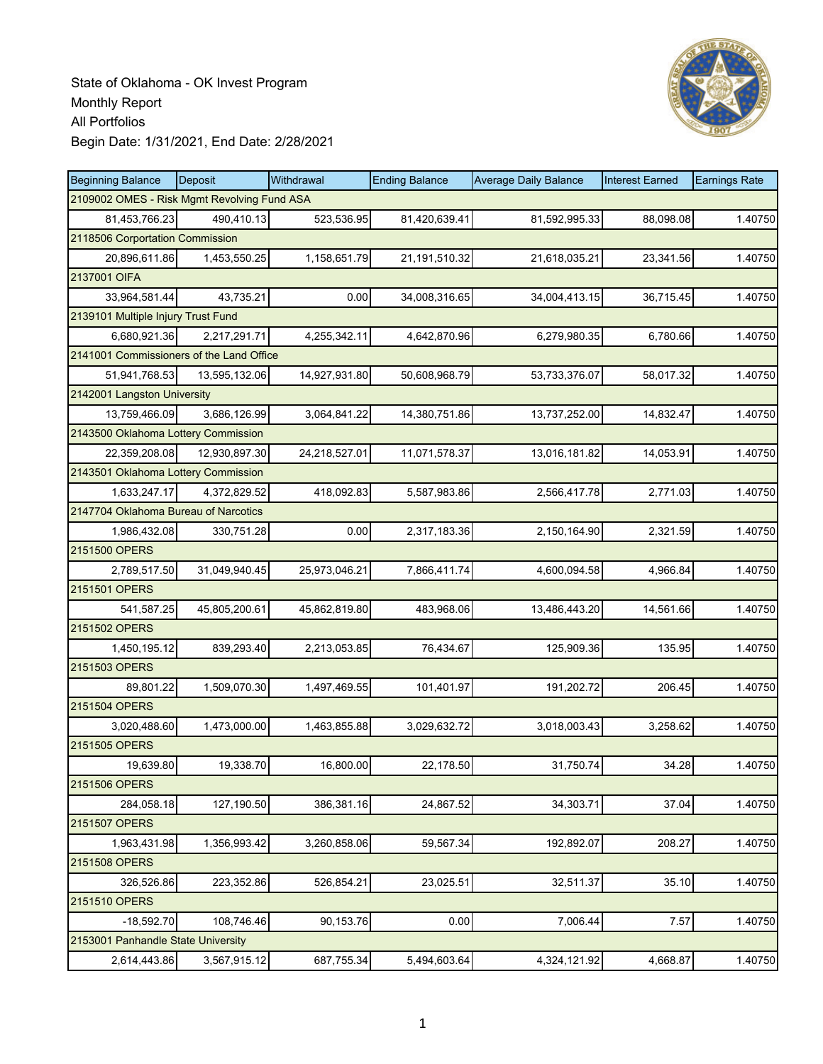

| <b>Beginning Balance</b>                    | Deposit       | Withdrawal    | <b>Ending Balance</b> | <b>Average Daily Balance</b> | <b>Interest Earned</b> | <b>Earnings Rate</b> |
|---------------------------------------------|---------------|---------------|-----------------------|------------------------------|------------------------|----------------------|
| 2109002 OMES - Risk Mgmt Revolving Fund ASA |               |               |                       |                              |                        |                      |
| 81,453,766.23                               | 490,410.13    | 523,536.95    | 81,420,639.41         | 81,592,995.33                | 88,098.08              | 1.40750              |
| 2118506 Corportation Commission             |               |               |                       |                              |                        |                      |
| 20,896,611.86                               | 1,453,550.25  | 1,158,651.79  | 21,191,510.32         | 21,618,035.21                | 23,341.56              | 1.40750              |
| 2137001 OIFA                                |               |               |                       |                              |                        |                      |
| 33,964,581.44                               | 43,735.21     | 0.00          | 34,008,316.65         | 34,004,413.15                | 36,715.45              | 1.40750              |
| 2139101 Multiple Injury Trust Fund          |               |               |                       |                              |                        |                      |
| 6,680,921.36                                | 2,217,291.71  | 4,255,342.11  | 4,642,870.96          | 6,279,980.35                 | 6,780.66               | 1.40750              |
| 2141001 Commissioners of the Land Office    |               |               |                       |                              |                        |                      |
| 51,941,768.53                               | 13,595,132.06 | 14,927,931.80 | 50,608,968.79         | 53,733,376.07                | 58,017.32              | 1.40750              |
| 2142001 Langston University                 |               |               |                       |                              |                        |                      |
| 13,759,466.09                               | 3,686,126.99  | 3,064,841.22  | 14,380,751.86         | 13,737,252.00                | 14,832.47              | 1.40750              |
| 2143500 Oklahoma Lottery Commission         |               |               |                       |                              |                        |                      |
| 22,359,208.08                               | 12,930,897.30 | 24,218,527.01 | 11,071,578.37         | 13,016,181.82                | 14,053.91              | 1.40750              |
| 2143501 Oklahoma Lottery Commission         |               |               |                       |                              |                        |                      |
| 1,633,247.17                                | 4.372.829.52  | 418,092.83    | 5,587,983.86          | 2,566,417.78                 | 2,771.03               | 1.40750              |
| 2147704 Oklahoma Bureau of Narcotics        |               |               |                       |                              |                        |                      |
| 1,986,432.08                                | 330,751.28    | 0.00          | 2,317,183.36          | 2,150,164.90                 | 2,321.59               | 1.40750              |
| 2151500 OPERS                               |               |               |                       |                              |                        |                      |
| 2,789,517.50                                | 31,049,940.45 | 25,973,046.21 | 7,866,411.74          | 4,600,094.58                 | 4,966.84               | 1.40750              |
| 2151501 OPERS                               |               |               |                       |                              |                        |                      |
| 541,587.25                                  | 45,805,200.61 | 45,862,819.80 | 483,968.06            | 13,486,443.20                | 14,561.66              | 1.40750              |
| 2151502 OPERS                               |               |               |                       |                              |                        |                      |
| 1,450,195.12                                | 839,293.40    | 2,213,053.85  | 76,434.67             | 125,909.36                   | 135.95                 | 1.40750              |
| 2151503 OPERS                               |               |               |                       |                              |                        |                      |
| 89,801.22                                   | 1,509,070.30  | 1,497,469.55  | 101,401.97            | 191,202.72                   | 206.45                 | 1.40750              |
| 2151504 OPERS                               |               |               |                       |                              |                        |                      |
| 3,020,488.60                                | 1,473,000.00  | 1,463,855.88  | 3,029,632.72          | 3,018,003.43                 | 3,258.62               | 1.40750              |
| 2151505 OPERS                               |               |               |                       |                              |                        |                      |
| 19,639.80                                   | 19,338.70     | 16,800.00     | 22,178.50             | 31,750.74                    | 34.28                  | 1.40750              |
| 2151506 OPERS                               |               |               |                       |                              |                        |                      |
| 284,058.18                                  | 127,190.50    | 386,381.16    | 24,867.52             | 34,303.71                    | 37.04                  | 1.40750              |
| 2151507 OPERS                               |               |               |                       |                              |                        |                      |
| 1,963,431.98                                | 1,356,993.42  | 3,260,858.06  | 59,567.34             | 192,892.07                   | 208.27                 | 1.40750              |
| 2151508 OPERS                               |               |               |                       |                              |                        |                      |
| 326,526.86                                  | 223,352.86    | 526,854.21    | 23,025.51             | 32,511.37                    | 35.10                  | 1.40750              |
| 2151510 OPERS                               |               |               |                       |                              |                        |                      |
| $-18,592.70$                                | 108,746.46    | 90,153.76     | 0.00                  | 7,006.44                     | 7.57                   | 1.40750              |
| 2153001 Panhandle State University          |               |               |                       |                              |                        |                      |
| 2,614,443.86                                | 3,567,915.12  | 687,755.34    | 5,494,603.64          | 4,324,121.92                 | 4,668.87               | 1.40750              |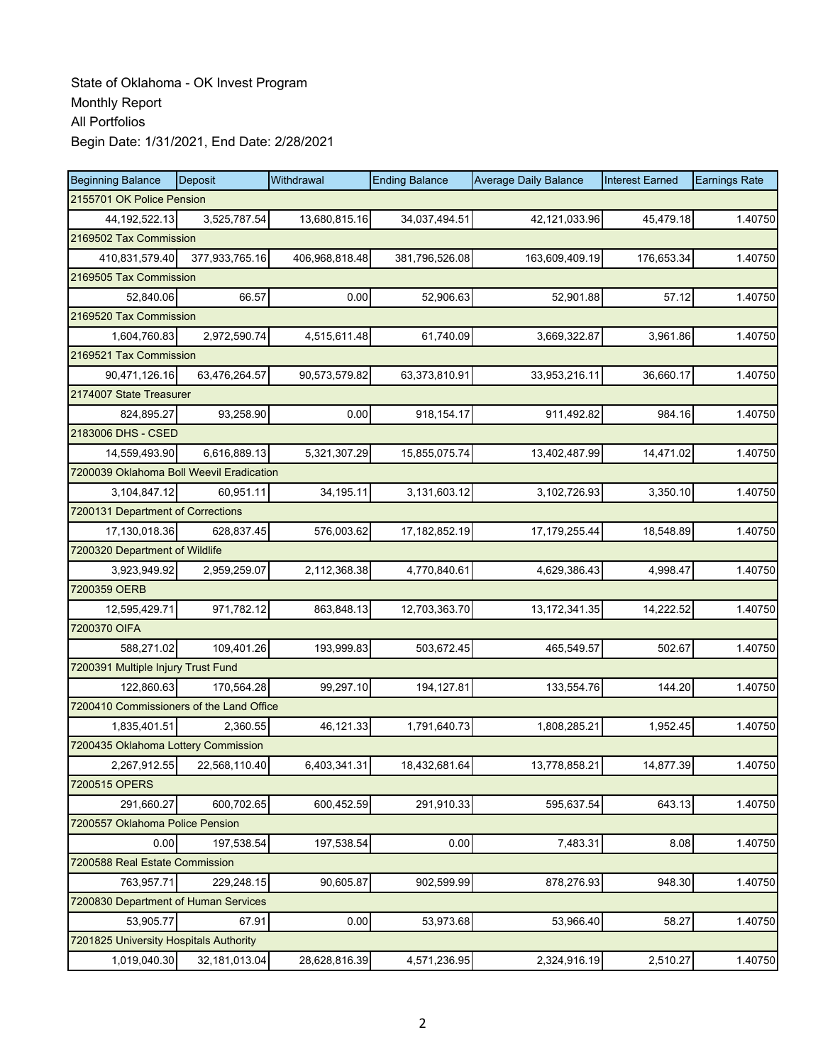| <b>Beginning Balance</b>                 | Deposit                | Withdrawal     | <b>Ending Balance</b> | <b>Average Daily Balance</b> | <b>Interest Earned</b> | <b>Earnings Rate</b> |  |  |  |  |
|------------------------------------------|------------------------|----------------|-----------------------|------------------------------|------------------------|----------------------|--|--|--|--|
| 2155701 OK Police Pension                |                        |                |                       |                              |                        |                      |  |  |  |  |
| 44, 192, 522. 13                         | 3,525,787.54           | 13,680,815.16  | 34,037,494.51         | 42,121,033.96                | 45,479.18              | 1.40750              |  |  |  |  |
| 2169502 Tax Commission                   |                        |                |                       |                              |                        |                      |  |  |  |  |
| 410,831,579.40                           | 377,933,765.16         | 406,968,818.48 | 381,796,526.08        | 163,609,409.19               | 176,653.34             | 1.40750              |  |  |  |  |
|                                          | 2169505 Tax Commission |                |                       |                              |                        |                      |  |  |  |  |
| 52,840.06                                | 66.57                  | 0.00           | 52,906.63             | 52,901.88                    | 57.12                  | 1.40750              |  |  |  |  |
| 2169520 Tax Commission                   |                        |                |                       |                              |                        |                      |  |  |  |  |
| 1,604,760.83                             | 2,972,590.74           | 4,515,611.48   | 61,740.09             | 3,669,322.87                 | 3,961.86               | 1.40750              |  |  |  |  |
| 2169521 Tax Commission                   |                        |                |                       |                              |                        |                      |  |  |  |  |
| 90,471,126.16                            | 63,476,264.57          | 90,573,579.82  | 63,373,810.91         | 33,953,216.11                | 36,660.17              | 1.40750              |  |  |  |  |
| 2174007 State Treasurer                  |                        |                |                       |                              |                        |                      |  |  |  |  |
| 824,895.27                               | 93,258.90              | 0.00           | 918, 154. 17          | 911,492.82                   | 984.16                 | 1.40750              |  |  |  |  |
| 2183006 DHS - CSED                       |                        |                |                       |                              |                        |                      |  |  |  |  |
| 14,559,493.90                            | 6,616,889.13           | 5,321,307.29   | 15,855,075.74         | 13,402,487.99                | 14,471.02              | 1.40750              |  |  |  |  |
| 7200039 Oklahoma Boll Weevil Eradication |                        |                |                       |                              |                        |                      |  |  |  |  |
| 3,104,847.12                             | 60,951.11              | 34,195.11      | 3,131,603.12          | 3,102,726.93                 | 3,350.10               | 1.40750              |  |  |  |  |
| 7200131 Department of Corrections        |                        |                |                       |                              |                        |                      |  |  |  |  |
| 17,130,018.36                            | 628,837.45             | 576,003.62     | 17, 182, 852. 19      | 17,179,255.44                | 18,548.89              | 1.40750              |  |  |  |  |
| 7200320 Department of Wildlife           |                        |                |                       |                              |                        |                      |  |  |  |  |
| 3,923,949.92                             | 2,959,259.07           | 2,112,368.38   | 4,770,840.61          | 4,629,386.43                 | 4,998.47               | 1.40750              |  |  |  |  |
| 7200359 OERB                             |                        |                |                       |                              |                        |                      |  |  |  |  |
| 12,595,429.71                            | 971,782.12             | 863,848.13     | 12,703,363.70         | 13, 172, 341. 35             | 14,222.52              | 1.40750              |  |  |  |  |
| 7200370 OIFA                             |                        |                |                       |                              |                        |                      |  |  |  |  |
| 588,271.02                               | 109,401.26             | 193,999.83     | 503,672.45            | 465,549.57                   | 502.67                 | 1.40750              |  |  |  |  |
| 7200391 Multiple Injury Trust Fund       |                        |                |                       |                              |                        |                      |  |  |  |  |
| 122,860.63                               | 170,564.28             | 99,297.10      | 194,127.81            | 133,554.76                   | 144.20                 | 1.40750              |  |  |  |  |
| 7200410 Commissioners of the Land Office |                        |                |                       |                              |                        |                      |  |  |  |  |
| 1,835,401.51                             | 2,360.55               | 46,121.33      | 1,791,640.73          | 1,808,285.21                 | 1,952.45               | 1.40750              |  |  |  |  |
| 7200435 Oklahoma Lottery Commission      |                        |                |                       |                              |                        |                      |  |  |  |  |
| 2,267,912.55                             | 22,568,110.40          | 6,403,341.31   | 18,432,681.64         | 13,778,858.21                | 14,877.39              | 1.40750              |  |  |  |  |
| 7200515 OPERS                            |                        |                |                       |                              |                        |                      |  |  |  |  |
| 291,660.27                               | 600,702.65             | 600,452.59     | 291,910.33            | 595,637.54                   | 643.13                 | 1.40750              |  |  |  |  |
| 7200557 Oklahoma Police Pension          |                        |                |                       |                              |                        |                      |  |  |  |  |
| 0.00                                     | 197,538.54             | 197,538.54     | 0.00                  | 7,483.31                     | 8.08                   | 1.40750              |  |  |  |  |
| 7200588 Real Estate Commission           |                        |                |                       |                              |                        |                      |  |  |  |  |
| 763,957.71                               | 229,248.15             | 90,605.87      | 902,599.99            | 878,276.93                   | 948.30                 | 1.40750              |  |  |  |  |
| 7200830 Department of Human Services     |                        |                |                       |                              |                        |                      |  |  |  |  |
| 53,905.77                                | 67.91                  | 0.00           | 53,973.68             | 53,966.40                    | 58.27                  | 1.40750              |  |  |  |  |
| 7201825 University Hospitals Authority   |                        |                |                       |                              |                        |                      |  |  |  |  |
| 1,019,040.30                             | 32,181,013.04          | 28,628,816.39  | 4,571,236.95          | 2,324,916.19                 | 2,510.27               | 1.40750              |  |  |  |  |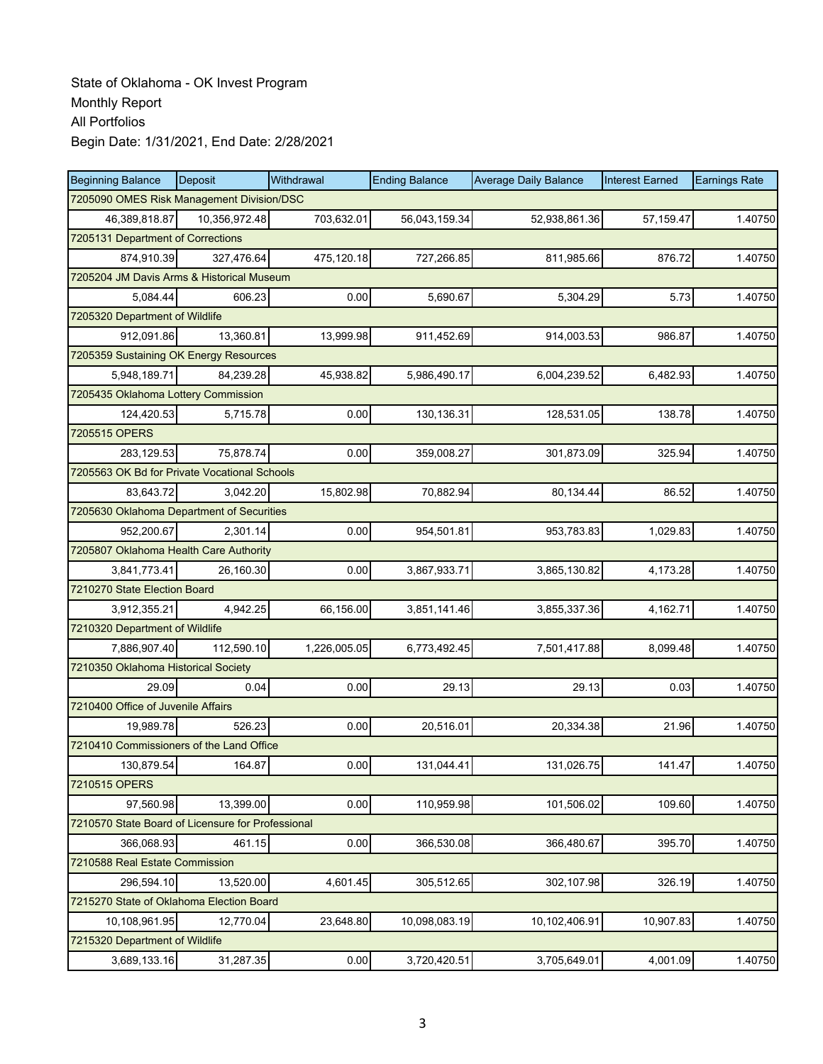| <b>Beginning Balance</b>                          | Deposit       | Withdrawal   | <b>Ending Balance</b> | <b>Average Daily Balance</b> | <b>Interest Earned</b> | <b>Earnings Rate</b> |
|---------------------------------------------------|---------------|--------------|-----------------------|------------------------------|------------------------|----------------------|
| 7205090 OMES Risk Management Division/DSC         |               |              |                       |                              |                        |                      |
| 46,389,818.87                                     | 10,356,972.48 | 703.632.01   | 56,043,159.34         | 52,938,861.36                | 57,159.47              | 1.40750              |
| 7205131 Department of Corrections                 |               |              |                       |                              |                        |                      |
| 874,910.39                                        | 327,476.64    | 475,120.18   | 727,266.85            | 811,985.66                   | 876.72                 | 1.40750              |
| 7205204 JM Davis Arms & Historical Museum         |               |              |                       |                              |                        |                      |
| 5,084.44                                          | 606.23        | 0.00         | 5,690.67              | 5,304.29                     | 5.73                   | 1.40750              |
| 7205320 Department of Wildlife                    |               |              |                       |                              |                        |                      |
| 912,091.86                                        | 13,360.81     | 13,999.98    | 911,452.69            | 914,003.53                   | 986.87                 | 1.40750              |
| 7205359 Sustaining OK Energy Resources            |               |              |                       |                              |                        |                      |
| 5,948,189.71                                      | 84,239.28     | 45,938.82    | 5,986,490.17          | 6,004,239.52                 | 6,482.93               | 1.40750              |
| 7205435 Oklahoma Lottery Commission               |               |              |                       |                              |                        |                      |
| 124,420.53                                        | 5,715.78      | 0.00         | 130,136.31            | 128,531.05                   | 138.78                 | 1.40750              |
| 7205515 OPERS                                     |               |              |                       |                              |                        |                      |
| 283,129.53                                        | 75,878.74     | 0.00         | 359,008.27            | 301,873.09                   | 325.94                 | 1.40750              |
| 7205563 OK Bd for Private Vocational Schools      |               |              |                       |                              |                        |                      |
| 83,643.72                                         | 3,042.20      | 15,802.98    | 70,882.94             | 80,134.44                    | 86.52                  | 1.40750              |
| 7205630 Oklahoma Department of Securities         |               |              |                       |                              |                        |                      |
| 952,200.67                                        | 2,301.14      | 0.00         | 954,501.81            | 953,783.83                   | 1,029.83               | 1.40750              |
| 7205807 Oklahoma Health Care Authority            |               |              |                       |                              |                        |                      |
| 3,841,773.41                                      | 26,160.30     | 0.00         | 3,867,933.71          | 3,865,130.82                 | 4,173.28               | 1.40750              |
| 7210270 State Election Board                      |               |              |                       |                              |                        |                      |
| 3,912,355.21                                      | 4,942.25      | 66,156.00    | 3,851,141.46          | 3,855,337.36                 | 4,162.71               | 1.40750              |
| 7210320 Department of Wildlife                    |               |              |                       |                              |                        |                      |
| 7,886,907.40                                      | 112,590.10    | 1,226,005.05 | 6,773,492.45          | 7,501,417.88                 | 8,099.48               | 1.40750              |
| 7210350 Oklahoma Historical Society               |               |              |                       |                              |                        |                      |
| 29.09                                             | 0.04          | 0.00         | 29.13                 | 29.13                        | 0.03                   | 1.40750              |
| 7210400 Office of Juvenile Affairs                |               |              |                       |                              |                        |                      |
| 19.989.78                                         | 526.23        | 0.00         | 20,516.01             | 20,334.38                    | 21.96                  | 1.40750              |
| 7210410 Commissioners of the Land Office          |               |              |                       |                              |                        |                      |
| 130,879.54                                        | 164.87        | 0.00         | 131,044.41            | 131,026.75                   | 141.47                 | 1.40750              |
| 7210515 OPERS                                     |               |              |                       |                              |                        |                      |
| 97,560.98                                         | 13,399.00     | 0.00         | 110,959.98            | 101,506.02                   | 109.60                 | 1.40750              |
| 7210570 State Board of Licensure for Professional |               |              |                       |                              |                        |                      |
| 366,068.93                                        | 461.15        | 0.00         | 366,530.08            | 366,480.67                   | 395.70                 | 1.40750              |
| 7210588 Real Estate Commission                    |               |              |                       |                              |                        |                      |
| 296,594.10                                        | 13,520.00     | 4,601.45     | 305,512.65            | 302,107.98                   | 326.19                 | 1.40750              |
| 7215270 State of Oklahoma Election Board          |               |              |                       |                              |                        |                      |
| 10,108,961.95                                     | 12,770.04     | 23,648.80    | 10,098,083.19         | 10,102,406.91                | 10,907.83              | 1.40750              |
| 7215320 Department of Wildlife                    |               |              |                       |                              |                        |                      |
| 3,689,133.16                                      | 31,287.35     | 0.00         | 3,720,420.51          | 3,705,649.01                 | 4,001.09               | 1.40750              |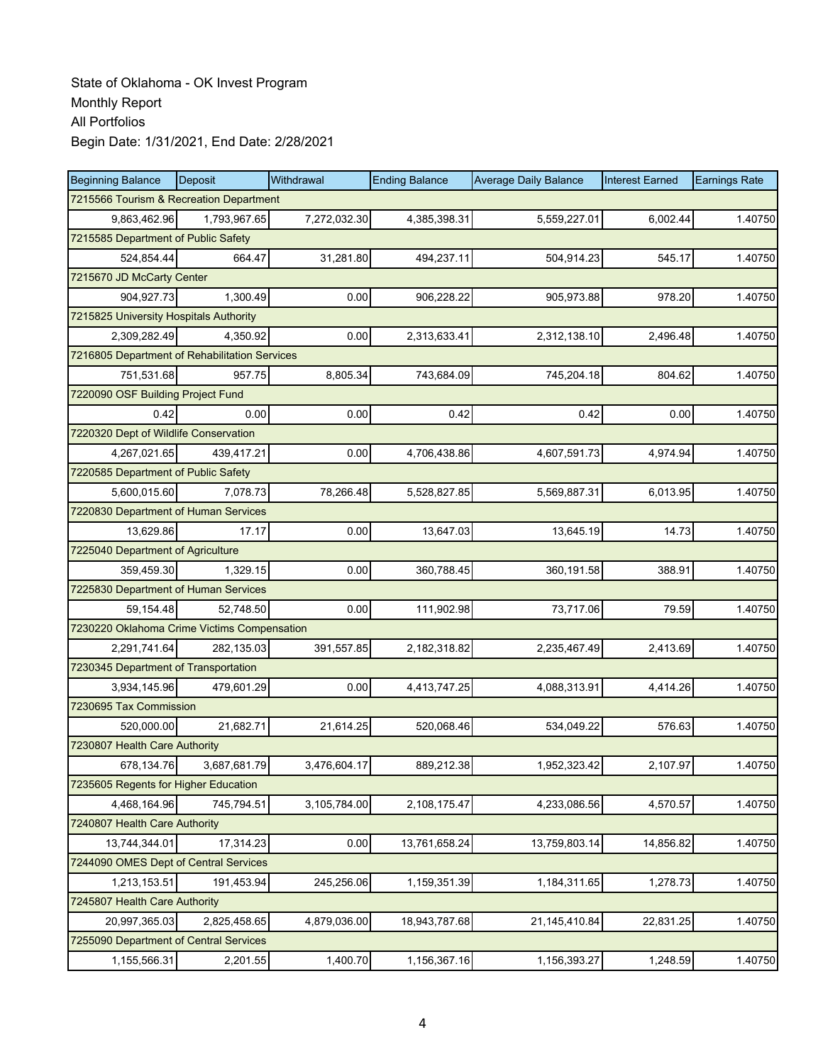| <b>Beginning Balance</b>                      | Deposit      | Withdrawal   | <b>Ending Balance</b> | <b>Average Daily Balance</b> | <b>Interest Earned</b> | <b>Earnings Rate</b> |
|-----------------------------------------------|--------------|--------------|-----------------------|------------------------------|------------------------|----------------------|
| 7215566 Tourism & Recreation Department       |              |              |                       |                              |                        |                      |
| 9,863,462.96                                  | 1,793,967.65 | 7,272,032.30 | 4,385,398.31          | 5,559,227.01                 | 6,002.44               | 1.40750              |
| 7215585 Department of Public Safety           |              |              |                       |                              |                        |                      |
| 524,854.44                                    | 664.47       | 31,281.80    | 494,237.11            | 504,914.23                   | 545.17                 | 1.40750              |
| 7215670 JD McCarty Center                     |              |              |                       |                              |                        |                      |
| 904,927.73                                    | 1,300.49     | 0.00         | 906,228.22            | 905,973.88                   | 978.20                 | 1.40750              |
| 7215825 University Hospitals Authority        |              |              |                       |                              |                        |                      |
| 2,309,282.49                                  | 4,350.92     | 0.00         | 2,313,633.41          | 2,312,138.10                 | 2,496.48               | 1.40750              |
| 7216805 Department of Rehabilitation Services |              |              |                       |                              |                        |                      |
| 751,531.68                                    | 957.75       | 8,805.34     | 743,684.09            | 745,204.18                   | 804.62                 | 1.40750              |
| 7220090 OSF Building Project Fund             |              |              |                       |                              |                        |                      |
| 0.42                                          | 0.00         | 0.00         | 0.42                  | 0.42                         | 0.00                   | 1.40750              |
| 7220320 Dept of Wildlife Conservation         |              |              |                       |                              |                        |                      |
| 4,267,021.65                                  | 439,417.21   | 0.00         | 4,706,438.86          | 4,607,591.73                 | 4,974.94               | 1.40750              |
| 7220585 Department of Public Safety           |              |              |                       |                              |                        |                      |
| 5,600,015.60                                  | 7,078.73     | 78,266.48    | 5,528,827.85          | 5,569,887.31                 | 6,013.95               | 1.40750              |
| 7220830 Department of Human Services          |              |              |                       |                              |                        |                      |
| 13,629.86                                     | 17.17        | 0.00         | 13,647.03             | 13,645.19                    | 14.73                  | 1.40750              |
| 7225040 Department of Agriculture             |              |              |                       |                              |                        |                      |
| 359,459.30                                    | 1,329.15     | 0.00         | 360,788.45            | 360,191.58                   | 388.91                 | 1.40750              |
| 7225830 Department of Human Services          |              |              |                       |                              |                        |                      |
| 59,154.48                                     | 52,748.50    | 0.00         | 111,902.98            | 73,717.06                    | 79.59                  | 1.40750              |
| 7230220 Oklahoma Crime Victims Compensation   |              |              |                       |                              |                        |                      |
| 2,291,741.64                                  | 282,135.03   | 391,557.85   | 2,182,318.82          | 2,235,467.49                 | 2,413.69               | 1.40750              |
| 7230345 Department of Transportation          |              |              |                       |                              |                        |                      |
| 3,934,145.96                                  | 479,601.29   | 0.00         | 4,413,747.25          | 4,088,313.91                 | 4,414.26               | 1.40750              |
| 7230695 Tax Commission                        |              |              |                       |                              |                        |                      |
| 520.000.00                                    | 21,682.71    | 21,614.25    | 520,068.46            | 534,049.22                   | 576.63                 | 1.40750              |
| 7230807 Health Care Authority                 |              |              |                       |                              |                        |                      |
| 678,134.76                                    | 3,687,681.79 | 3,476,604.17 | 889,212.38            | 1,952,323.42                 | 2,107.97               | 1.40750              |
| 7235605 Regents for Higher Education          |              |              |                       |                              |                        |                      |
| 4,468,164.96                                  | 745,794.51   | 3,105,784.00 | 2,108,175.47          | 4,233,086.56                 | 4,570.57               | 1.40750              |
| 7240807 Health Care Authority                 |              |              |                       |                              |                        |                      |
| 13,744,344.01                                 | 17,314.23    | 0.00         | 13,761,658.24         | 13,759,803.14                | 14,856.82              | 1.40750              |
| 7244090 OMES Dept of Central Services         |              |              |                       |                              |                        |                      |
| 1,213,153.51                                  | 191,453.94   | 245,256.06   | 1,159,351.39          | 1,184,311.65                 | 1,278.73               | 1.40750              |
| 7245807 Health Care Authority                 |              |              |                       |                              |                        |                      |
| 20,997,365.03                                 | 2,825,458.65 | 4,879,036.00 | 18,943,787.68         | 21,145,410.84                | 22,831.25              | 1.40750              |
| 7255090 Department of Central Services        |              |              |                       |                              |                        |                      |
| 1,155,566.31                                  | 2,201.55     | 1,400.70     | 1,156,367.16          | 1,156,393.27                 | 1,248.59               | 1.40750              |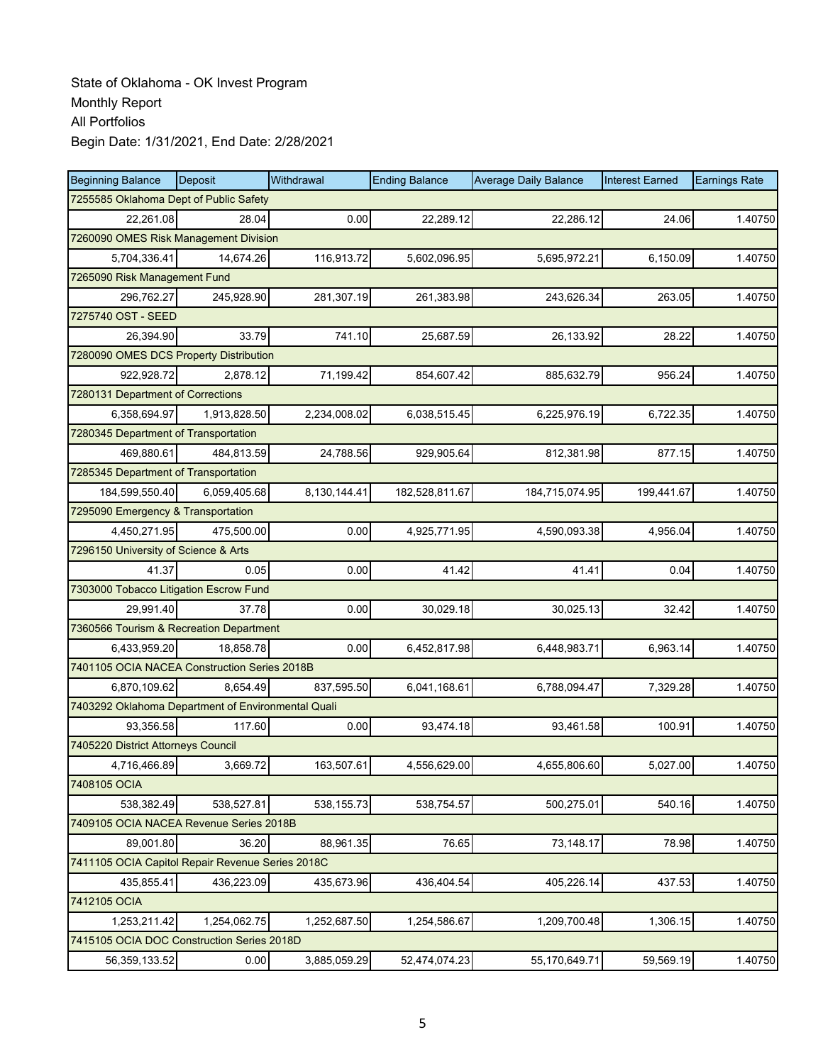| <b>Beginning Balance</b>                           | <b>Deposit</b>               | Withdrawal   | <b>Ending Balance</b> | <b>Average Daily Balance</b> | <b>Interest Earned</b> | <b>Earnings Rate</b> |  |  |  |  |
|----------------------------------------------------|------------------------------|--------------|-----------------------|------------------------------|------------------------|----------------------|--|--|--|--|
| 7255585 Oklahoma Dept of Public Safety             |                              |              |                       |                              |                        |                      |  |  |  |  |
| 22,261.08                                          | 28.04                        | 0.00         | 22,289.12             | 22.286.12                    | 24.06                  | 1.40750              |  |  |  |  |
| 7260090 OMES Risk Management Division              |                              |              |                       |                              |                        |                      |  |  |  |  |
| 5,704,336.41                                       | 14,674.26                    | 116,913.72   | 5,602,096.95          | 5,695,972.21                 | 6,150.09               | 1.40750              |  |  |  |  |
|                                                    | 7265090 Risk Management Fund |              |                       |                              |                        |                      |  |  |  |  |
| 296,762.27                                         | 245,928.90                   | 281,307.19   | 261,383.98            | 243,626.34                   | 263.05                 | 1.40750              |  |  |  |  |
| 7275740 OST - SEED                                 |                              |              |                       |                              |                        |                      |  |  |  |  |
| 26.394.90                                          | 33.79                        | 741.10       | 25,687.59             | 26,133.92                    | 28.22                  | 1.40750              |  |  |  |  |
| 7280090 OMES DCS Property Distribution             |                              |              |                       |                              |                        |                      |  |  |  |  |
| 922,928.72                                         | 2,878.12                     | 71,199.42    | 854,607.42            | 885,632.79                   | 956.24                 | 1.40750              |  |  |  |  |
| 7280131 Department of Corrections                  |                              |              |                       |                              |                        |                      |  |  |  |  |
| 6,358,694.97                                       | 1,913,828.50                 | 2,234,008.02 | 6,038,515.45          | 6,225,976.19                 | 6,722.35               | 1.40750              |  |  |  |  |
| 7280345 Department of Transportation               |                              |              |                       |                              |                        |                      |  |  |  |  |
| 469,880.61                                         | 484,813.59                   | 24,788.56    | 929,905.64            | 812,381.98                   | 877.15                 | 1.40750              |  |  |  |  |
| 7285345 Department of Transportation               |                              |              |                       |                              |                        |                      |  |  |  |  |
| 184,599,550.40                                     | 6,059,405.68                 | 8,130,144.41 | 182,528,811.67        | 184,715,074.95               | 199,441.67             | 1.40750              |  |  |  |  |
| 7295090 Emergency & Transportation                 |                              |              |                       |                              |                        |                      |  |  |  |  |
| 4,450,271.95                                       | 475,500.00                   | 0.00         | 4,925,771.95          | 4,590,093.38                 | 4,956.04               | 1.40750              |  |  |  |  |
| 7296150 University of Science & Arts               |                              |              |                       |                              |                        |                      |  |  |  |  |
| 41.37                                              | 0.05                         | 0.00         | 41.42                 | 41.41                        | 0.04                   | 1.40750              |  |  |  |  |
| 7303000 Tobacco Litigation Escrow Fund             |                              |              |                       |                              |                        |                      |  |  |  |  |
| 29,991.40                                          | 37.78                        | 0.00         | 30,029.18             | 30,025.13                    | 32.42                  | 1.40750              |  |  |  |  |
| 7360566 Tourism & Recreation Department            |                              |              |                       |                              |                        |                      |  |  |  |  |
| 6,433,959.20                                       | 18,858.78                    | 0.00         | 6,452,817.98          | 6,448,983.71                 | 6,963.14               | 1.40750              |  |  |  |  |
| 7401105 OCIA NACEA Construction Series 2018B       |                              |              |                       |                              |                        |                      |  |  |  |  |
| 6,870,109.62                                       | 8,654.49                     | 837,595.50   | 6,041,168.61          | 6,788,094.47                 | 7,329.28               | 1.40750              |  |  |  |  |
| 7403292 Oklahoma Department of Environmental Quali |                              |              |                       |                              |                        |                      |  |  |  |  |
| 93,356.58                                          | 117.60                       | 0.00         | 93,474.18             | 93,461.58                    | 100.91                 | 1.40750              |  |  |  |  |
| 7405220 District Attorneys Council                 |                              |              |                       |                              |                        |                      |  |  |  |  |
| 4,716,466.89                                       | 3,669.72                     | 163,507.61   | 4.556.629.00          | 4,655,806.60                 | 5,027.00               | 1.40750              |  |  |  |  |
| 7408105 OCIA                                       |                              |              |                       |                              |                        |                      |  |  |  |  |
| 538,382.49                                         | 538,527.81                   | 538,155.73   | 538,754.57            | 500,275.01                   | 540.16                 | 1.40750              |  |  |  |  |
| 7409105 OCIA NACEA Revenue Series 2018B            |                              |              |                       |                              |                        |                      |  |  |  |  |
| 89,001.80                                          | 36.20                        | 88,961.35    | 76.65                 | 73,148.17                    | 78.98                  | 1.40750              |  |  |  |  |
| 7411105 OCIA Capitol Repair Revenue Series 2018C   |                              |              |                       |                              |                        |                      |  |  |  |  |
| 435,855.41                                         | 436,223.09                   | 435,673.96   | 436,404.54            | 405,226.14                   | 437.53                 | 1.40750              |  |  |  |  |
| 7412105 OCIA                                       |                              |              |                       |                              |                        |                      |  |  |  |  |
| 1,253,211.42                                       | 1,254,062.75                 | 1,252,687.50 | 1,254,586.67          | 1,209,700.48                 | 1,306.15               | 1.40750              |  |  |  |  |
| 7415105 OCIA DOC Construction Series 2018D         |                              |              |                       |                              |                        |                      |  |  |  |  |
| 56,359,133.52                                      | 0.00                         | 3,885,059.29 | 52,474,074.23         | 55,170,649.71                | 59,569.19              | 1.40750              |  |  |  |  |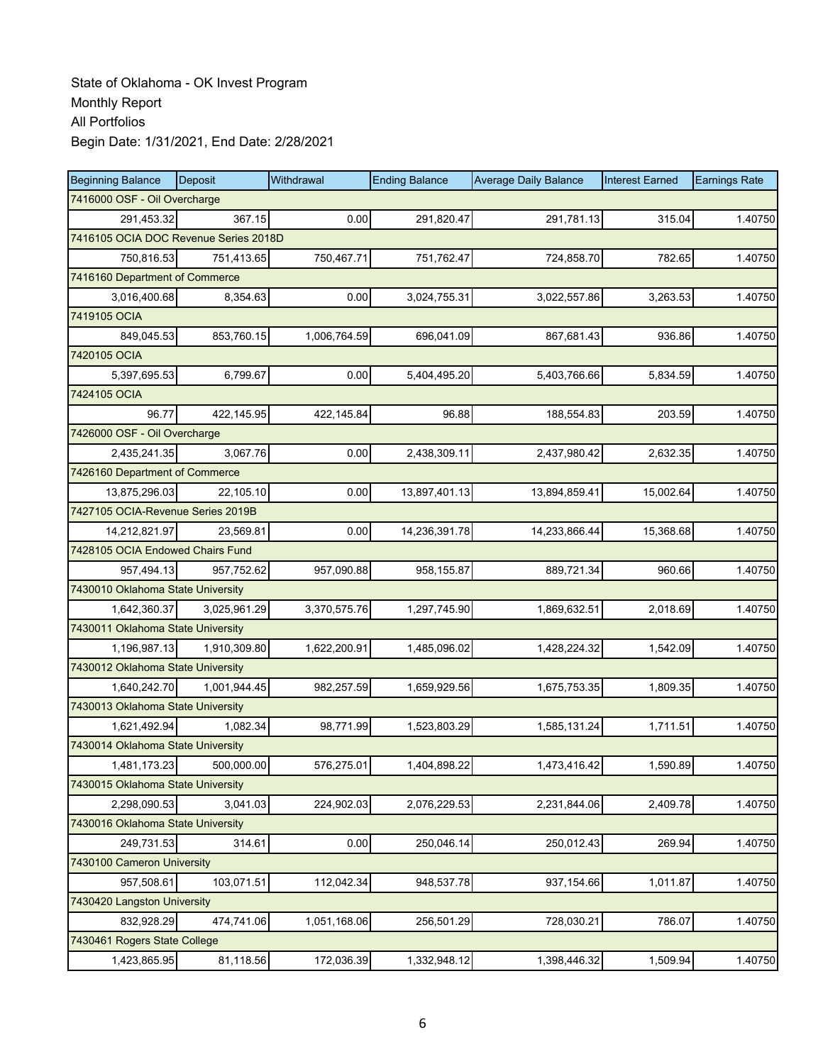| <b>Beginning Balance</b>              | Deposit      | Withdrawal   | <b>Ending Balance</b> | <b>Average Daily Balance</b> | <b>Interest Earned</b> | <b>Earnings Rate</b> |
|---------------------------------------|--------------|--------------|-----------------------|------------------------------|------------------------|----------------------|
| 7416000 OSF - Oil Overcharge          |              |              |                       |                              |                        |                      |
| 291,453.32                            | 367.15       | 0.00         | 291,820.47            | 291,781.13                   | 315.04                 | 1.40750              |
| 7416105 OCIA DOC Revenue Series 2018D |              |              |                       |                              |                        |                      |
| 750,816.53                            | 751,413.65   | 750,467.71   | 751,762.47            | 724,858.70                   | 782.65                 | 1.40750              |
| 7416160 Department of Commerce        |              |              |                       |                              |                        |                      |
| 3,016,400.68                          | 8,354.63     | 0.00         | 3,024,755.31          | 3,022,557.86                 | 3,263.53               | 1.40750              |
| 7419105 OCIA                          |              |              |                       |                              |                        |                      |
| 849,045.53                            | 853,760.15   | 1,006,764.59 | 696,041.09            | 867,681.43                   | 936.86                 | 1.40750              |
| 7420105 OCIA                          |              |              |                       |                              |                        |                      |
| 5,397,695.53                          | 6,799.67     | 0.00         | 5,404,495.20          | 5,403,766.66                 | 5,834.59               | 1.40750              |
| 7424105 OCIA                          |              |              |                       |                              |                        |                      |
| 96.77                                 | 422,145.95   | 422,145.84   | 96.88                 | 188,554.83                   | 203.59                 | 1.40750              |
| 7426000 OSF - Oil Overcharge          |              |              |                       |                              |                        |                      |
| 2,435,241.35                          | 3,067.76     | 0.00         | 2,438,309.11          | 2,437,980.42                 | 2,632.35               | 1.40750              |
| 7426160 Department of Commerce        |              |              |                       |                              |                        |                      |
| 13,875,296.03                         | 22,105.10    | 0.00         | 13,897,401.13         | 13,894,859.41                | 15,002.64              | 1.40750              |
| 7427105 OCIA-Revenue Series 2019B     |              |              |                       |                              |                        |                      |
| 14,212,821.97                         | 23,569.81    | 0.00         | 14,236,391.78         | 14,233,866.44                | 15,368.68              | 1.40750              |
| 7428105 OCIA Endowed Chairs Fund      |              |              |                       |                              |                        |                      |
| 957,494.13                            | 957,752.62   | 957,090.88   | 958,155.87            | 889,721.34                   | 960.66                 | 1.40750              |
| 7430010 Oklahoma State University     |              |              |                       |                              |                        |                      |
| 1,642,360.37                          | 3,025,961.29 | 3,370,575.76 | 1,297,745.90          | 1,869,632.51                 | 2,018.69               | 1.40750              |
| 7430011 Oklahoma State University     |              |              |                       |                              |                        |                      |
| 1,196,987.13                          | 1,910,309.80 | 1,622,200.91 | 1,485,096.02          | 1,428,224.32                 | 1,542.09               | 1.40750              |
| 7430012 Oklahoma State University     |              |              |                       |                              |                        |                      |
| 1,640,242.70                          | 1,001,944.45 | 982,257.59   | 1,659,929.56          | 1,675,753.35                 | 1,809.35               | 1.40750              |
| 7430013 Oklahoma State University     |              |              |                       |                              |                        |                      |
| 1,621,492.94                          | 1,082.34     | 98,771.99    | 1,523,803.29          | 1,585,131.24                 | 1,711.51               | 1.40750              |
| 7430014 Oklahoma State University     |              |              |                       |                              |                        |                      |
| 1,481,173.23                          | 500,000.00   | 576,275.01   | 1,404,898.22          | 1,473,416.42                 | 1,590.89               | 1.40750              |
| 7430015 Oklahoma State University     |              |              |                       |                              |                        |                      |
| 2,298,090.53                          | 3,041.03     | 224,902.03   | 2,076,229.53          | 2,231,844.06                 | 2,409.78               | 1.40750              |
| 7430016 Oklahoma State University     |              |              |                       |                              |                        |                      |
| 249,731.53                            | 314.61       | 0.00         | 250,046.14            | 250,012.43                   | 269.94                 | 1.40750              |
| 7430100 Cameron University            |              |              |                       |                              |                        |                      |
| 957,508.61                            | 103,071.51   | 112,042.34   | 948,537.78            | 937,154.66                   | 1,011.87               | 1.40750              |
| 7430420 Langston University           |              |              |                       |                              |                        |                      |
| 832,928.29                            | 474,741.06   | 1,051,168.06 | 256,501.29            | 728,030.21                   | 786.07                 | 1.40750              |
| 7430461 Rogers State College          |              |              |                       |                              |                        |                      |
| 1,423,865.95                          | 81,118.56    | 172,036.39   | 1,332,948.12          | 1,398,446.32                 | 1,509.94               | 1.40750              |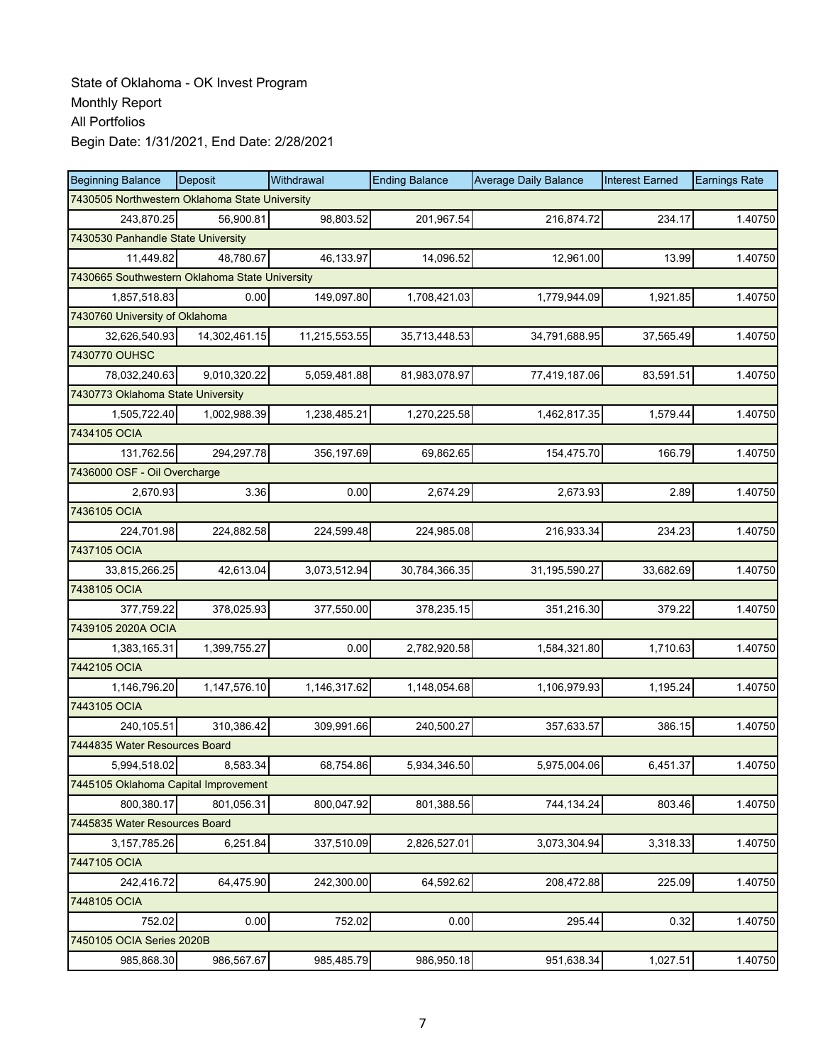| <b>Beginning Balance</b>                       | Deposit       | Withdrawal    | <b>Ending Balance</b> | <b>Average Daily Balance</b> | <b>Interest Earned</b> | <b>Earnings Rate</b> |
|------------------------------------------------|---------------|---------------|-----------------------|------------------------------|------------------------|----------------------|
| 7430505 Northwestern Oklahoma State University |               |               |                       |                              |                        |                      |
| 243,870.25                                     | 56,900.81     | 98,803.52     | 201,967.54            | 216,874.72                   | 234.17                 | 1.40750              |
| 7430530 Panhandle State University             |               |               |                       |                              |                        |                      |
| 11,449.82                                      | 48,780.67     | 46,133.97     | 14,096.52             | 12,961.00                    | 13.99                  | 1.40750              |
| 7430665 Southwestern Oklahoma State University |               |               |                       |                              |                        |                      |
| 1,857,518.83                                   | 0.00          | 149,097.80    | 1,708,421.03          | 1,779,944.09                 | 1,921.85               | 1.40750              |
| 7430760 University of Oklahoma                 |               |               |                       |                              |                        |                      |
| 32,626,540.93                                  | 14,302,461.15 | 11,215,553.55 | 35,713,448.53         | 34,791,688.95                | 37,565.49              | 1.40750              |
| 7430770 OUHSC                                  |               |               |                       |                              |                        |                      |
| 78,032,240.63                                  | 9,010,320.22  | 5,059,481.88  | 81,983,078.97         | 77,419,187.06                | 83,591.51              | 1.40750              |
| 7430773 Oklahoma State University              |               |               |                       |                              |                        |                      |
| 1,505,722.40                                   | 1,002,988.39  | 1,238,485.21  | 1,270,225.58          | 1,462,817.35                 | 1,579.44               | 1.40750              |
| 7434105 OCIA                                   |               |               |                       |                              |                        |                      |
| 131,762.56                                     | 294,297.78    | 356,197.69    | 69,862.65             | 154,475.70                   | 166.79                 | 1.40750              |
| 7436000 OSF - Oil Overcharge                   |               |               |                       |                              |                        |                      |
| 2,670.93                                       | 3.36          | 0.00          | 2,674.29              | 2,673.93                     | 2.89                   | 1.40750              |
| 7436105 OCIA                                   |               |               |                       |                              |                        |                      |
| 224,701.98                                     | 224,882.58    | 224,599.48    | 224,985.08            | 216,933.34                   | 234.23                 | 1.40750              |
| 7437105 OCIA                                   |               |               |                       |                              |                        |                      |
| 33,815,266.25                                  | 42,613.04     | 3,073,512.94  | 30,784,366.35         | 31,195,590.27                | 33,682.69              | 1.40750              |
| 7438105 OCIA                                   |               |               |                       |                              |                        |                      |
| 377,759.22                                     | 378,025.93    | 377,550.00    | 378,235.15            | 351,216.30                   | 379.22                 | 1.40750              |
| 7439105 2020A OCIA                             |               |               |                       |                              |                        |                      |
| 1,383,165.31                                   | 1,399,755.27  | 0.00          | 2,782,920.58          | 1,584,321.80                 | 1,710.63               | 1.40750              |
| 7442105 OCIA                                   |               |               |                       |                              |                        |                      |
| 1,146,796.20                                   | 1,147,576.10  | 1,146,317.62  | 1,148,054.68          | 1,106,979.93                 | 1,195.24               | 1.40750              |
| 7443105 OCIA                                   |               |               |                       |                              |                        |                      |
| 240,105.51                                     | 310,386.42    | 309,991.66    | 240,500.27            | 357,633.57                   | 386.15                 | 1.40750              |
| 7444835 Water Resources Board                  |               |               |                       |                              |                        |                      |
| 5,994,518.02                                   | 8,583.34      | 68,754.86     | 5,934,346.50          | 5,975,004.06                 | 6,451.37               | 1.40750              |
| 7445105 Oklahoma Capital Improvement           |               |               |                       |                              |                        |                      |
| 800,380.17                                     | 801,056.31    | 800,047.92    | 801,388.56            | 744,134.24                   | 803.46                 | 1.40750              |
| 7445835 Water Resources Board                  |               |               |                       |                              |                        |                      |
| 3, 157, 785. 26                                | 6,251.84      | 337,510.09    | 2,826,527.01          | 3,073,304.94                 | 3,318.33               | 1.40750              |
| 7447105 OCIA                                   |               |               |                       |                              |                        |                      |
| 242,416.72                                     | 64,475.90     | 242,300.00    | 64,592.62             | 208,472.88                   | 225.09                 | 1.40750              |
| 7448105 OCIA                                   |               |               |                       |                              |                        |                      |
| 752.02                                         | 0.00          | 752.02        | 0.00                  | 295.44                       | 0.32                   | 1.40750              |
| 7450105 OCIA Series 2020B                      |               |               |                       |                              |                        |                      |
| 985,868.30                                     | 986,567.67    | 985,485.79    | 986,950.18            | 951,638.34                   | 1,027.51               | 1.40750              |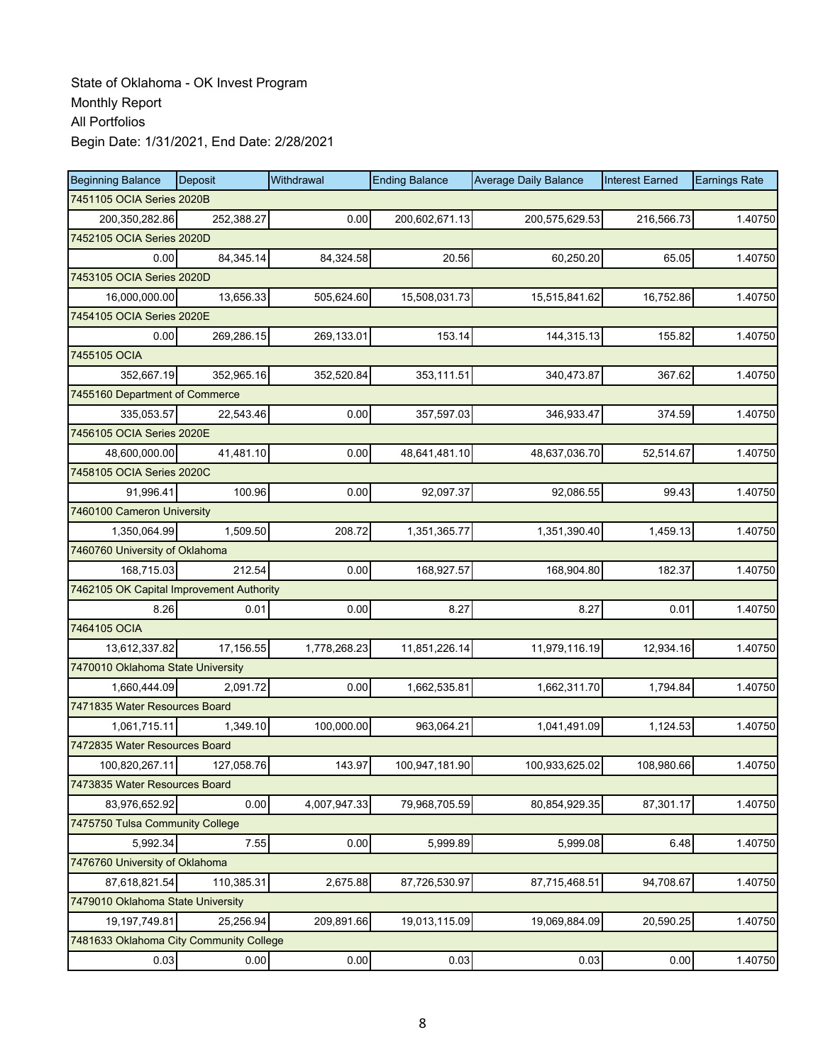| <b>Beginning Balance</b>                 | Deposit    | Withdrawal   | <b>Ending Balance</b> | <b>Average Daily Balance</b> | <b>Interest Earned</b> | <b>Earnings Rate</b> |
|------------------------------------------|------------|--------------|-----------------------|------------------------------|------------------------|----------------------|
| 7451105 OCIA Series 2020B                |            |              |                       |                              |                        |                      |
| 200,350,282.86                           | 252,388.27 | 0.00         | 200,602,671.13        | 200,575,629.53               | 216,566.73             | 1.40750              |
| 7452105 OCIA Series 2020D                |            |              |                       |                              |                        |                      |
| 0.00                                     | 84,345.14  | 84,324.58    | 20.56                 | 60,250.20                    | 65.05                  | 1.40750              |
| 7453105 OCIA Series 2020D                |            |              |                       |                              |                        |                      |
| 16,000,000.00                            | 13,656.33  | 505,624.60   | 15,508,031.73         | 15,515,841.62                | 16,752.86              | 1.40750              |
| 7454105 OCIA Series 2020E                |            |              |                       |                              |                        |                      |
| 0.00                                     | 269,286.15 | 269,133.01   | 153.14                | 144,315.13                   | 155.82                 | 1.40750              |
| 7455105 OCIA                             |            |              |                       |                              |                        |                      |
| 352,667.19                               | 352,965.16 | 352,520.84   | 353,111.51            | 340,473.87                   | 367.62                 | 1.40750              |
| 7455160 Department of Commerce           |            |              |                       |                              |                        |                      |
| 335,053.57                               | 22,543.46  | 0.00         | 357,597.03            | 346,933.47                   | 374.59                 | 1.40750              |
| 7456105 OCIA Series 2020E                |            |              |                       |                              |                        |                      |
| 48,600,000.00                            | 41,481.10  | 0.00         | 48,641,481.10         | 48,637,036.70                | 52,514.67              | 1.40750              |
| 7458105 OCIA Series 2020C                |            |              |                       |                              |                        |                      |
| 91,996.41                                | 100.96     | 0.00         | 92,097.37             | 92,086.55                    | 99.43                  | 1.40750              |
| 7460100 Cameron University               |            |              |                       |                              |                        |                      |
| 1,350,064.99                             | 1,509.50   | 208.72       | 1,351,365.77          | 1,351,390.40                 | 1,459.13               | 1.40750              |
| 7460760 University of Oklahoma           |            |              |                       |                              |                        |                      |
| 168,715.03                               | 212.54     | 0.00         | 168,927.57            | 168,904.80                   | 182.37                 | 1.40750              |
| 7462105 OK Capital Improvement Authority |            |              |                       |                              |                        |                      |
| 8.26                                     | 0.01       | 0.00         | 8.27                  | 8.27                         | 0.01                   | 1.40750              |
| 7464105 OCIA                             |            |              |                       |                              |                        |                      |
| 13,612,337.82                            | 17,156.55  | 1,778,268.23 | 11,851,226.14         | 11,979,116.19                | 12,934.16              | 1.40750              |
| 7470010 Oklahoma State University        |            |              |                       |                              |                        |                      |
| 1,660,444.09                             | 2,091.72   | 0.00         | 1,662,535.81          | 1,662,311.70                 | 1,794.84               | 1.40750              |
| 7471835 Water Resources Board            |            |              |                       |                              |                        |                      |
| 1,061,715.11                             | 1,349.10   | 100,000.00   | 963,064.21            | 1,041,491.09                 | 1,124.53               | 1.40750              |
| 7472835 Water Resources Board            |            |              |                       |                              |                        |                      |
| 100,820,267.11                           | 127,058.76 | 143.97       | 100,947,181.90        | 100,933,625.02               | 108,980.66             | 1.40750              |
| 7473835 Water Resources Board            |            |              |                       |                              |                        |                      |
| 83,976,652.92                            | 0.00       | 4,007,947.33 | 79,968,705.59         | 80,854,929.35                | 87,301.17              | 1.40750              |
| 7475750 Tulsa Community College          |            |              |                       |                              |                        |                      |
| 5,992.34                                 | 7.55       | 0.00         | 5,999.89              | 5,999.08                     | 6.48                   | 1.40750              |
| 7476760 University of Oklahoma           |            |              |                       |                              |                        |                      |
| 87,618,821.54                            | 110,385.31 | 2,675.88     | 87,726,530.97         | 87,715,468.51                | 94,708.67              | 1.40750              |
| 7479010 Oklahoma State University        |            |              |                       |                              |                        |                      |
| 19,197,749.81                            | 25,256.94  | 209,891.66   | 19,013,115.09         | 19,069,884.09                | 20,590.25              | 1.40750              |
| 7481633 Oklahoma City Community College  |            |              |                       |                              |                        |                      |
| 0.03                                     | 0.00       | 0.00         | 0.03                  | 0.03                         | 0.00                   | 1.40750              |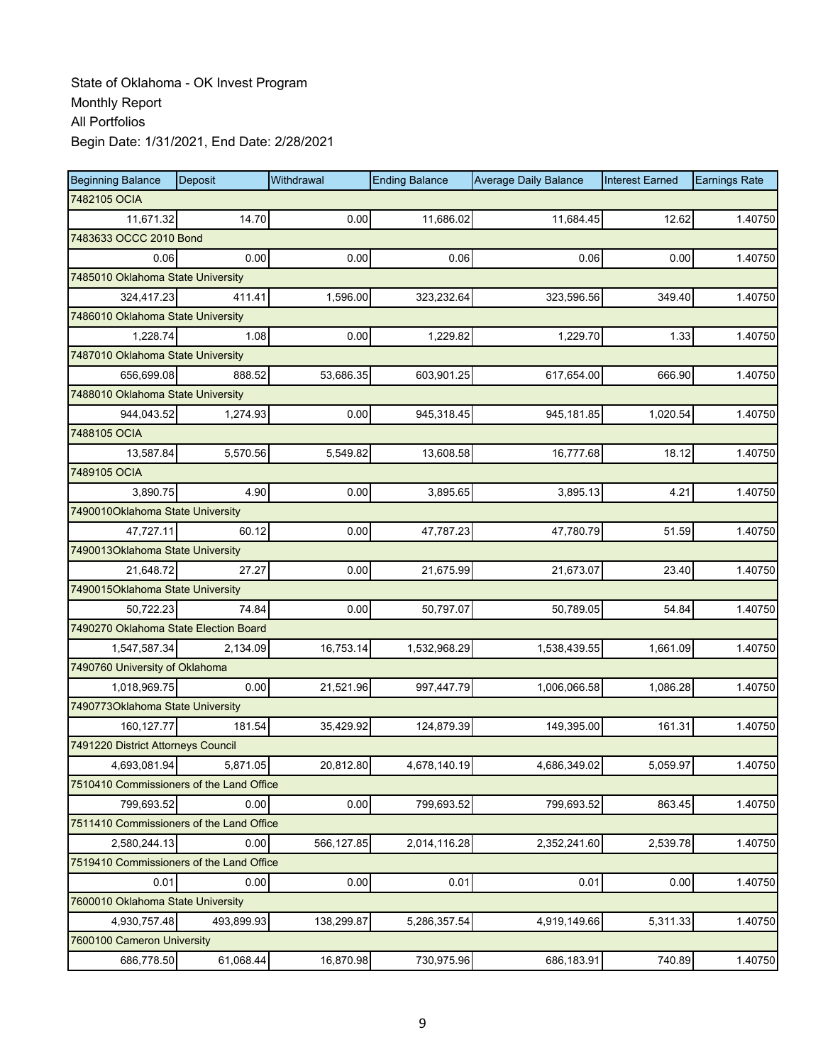| <b>Beginning Balance</b>                 | Deposit    | Withdrawal | <b>Ending Balance</b> | <b>Average Daily Balance</b> | <b>Interest Earned</b> | <b>Earnings Rate</b> |  |  |  |
|------------------------------------------|------------|------------|-----------------------|------------------------------|------------------------|----------------------|--|--|--|
| 7482105 OCIA                             |            |            |                       |                              |                        |                      |  |  |  |
| 11,671.32                                | 14.70      | 0.00       | 11,686.02             | 11,684.45                    | 12.62                  | 1.40750              |  |  |  |
| 7483633 OCCC 2010 Bond                   |            |            |                       |                              |                        |                      |  |  |  |
| 0.06                                     | 0.00       | 0.00       | 0.06                  | 0.06                         | 0.00                   | 1.40750              |  |  |  |
| 7485010 Oklahoma State University        |            |            |                       |                              |                        |                      |  |  |  |
| 324,417.23                               | 411.41     | 1,596.00   | 323,232.64            | 323,596.56                   | 349.40                 | 1.40750              |  |  |  |
| 7486010 Oklahoma State University        |            |            |                       |                              |                        |                      |  |  |  |
| 1,228.74                                 | 1.08       | 0.00       | 1,229.82              | 1,229.70                     | 1.33                   | 1.40750              |  |  |  |
| 7487010 Oklahoma State University        |            |            |                       |                              |                        |                      |  |  |  |
| 656,699.08                               | 888.52     | 53,686.35  | 603,901.25            | 617,654.00                   | 666.90                 | 1.40750              |  |  |  |
| 7488010 Oklahoma State University        |            |            |                       |                              |                        |                      |  |  |  |
| 944,043.52                               | 1,274.93   | 0.00       | 945,318.45            | 945,181.85                   | 1,020.54               | 1.40750              |  |  |  |
| 7488105 OCIA                             |            |            |                       |                              |                        |                      |  |  |  |
| 13,587.84                                | 5,570.56   | 5,549.82   | 13,608.58             | 16,777.68                    | 18.12                  | 1.40750              |  |  |  |
| 7489105 OCIA                             |            |            |                       |                              |                        |                      |  |  |  |
| 3.890.75                                 | 4.90       | 0.00       | 3,895.65              | 3,895.13                     | 4.21                   | 1.40750              |  |  |  |
| 7490010Oklahoma State University         |            |            |                       |                              |                        |                      |  |  |  |
| 47,727.11                                | 60.12      | 0.00       | 47,787.23             | 47,780.79                    | 51.59                  | 1.40750              |  |  |  |
| 7490013Oklahoma State University         |            |            |                       |                              |                        |                      |  |  |  |
| 21,648.72                                | 27.27      | 0.00       | 21,675.99             | 21,673.07                    | 23.40                  | 1.40750              |  |  |  |
| 7490015Oklahoma State University         |            |            |                       |                              |                        |                      |  |  |  |
| 50,722.23                                | 74.84      | 0.00       | 50,797.07             | 50,789.05                    | 54.84                  | 1.40750              |  |  |  |
| 7490270 Oklahoma State Election Board    |            |            |                       |                              |                        |                      |  |  |  |
| 1,547,587.34                             | 2,134.09   | 16,753.14  | 1,532,968.29          | 1,538,439.55                 | 1,661.09               | 1.40750              |  |  |  |
| 7490760 University of Oklahoma           |            |            |                       |                              |                        |                      |  |  |  |
| 1,018,969.75                             | 0.00       | 21,521.96  | 997,447.79            | 1,006,066.58                 | 1,086.28               | 1.40750              |  |  |  |
| 7490773Oklahoma State University         |            |            |                       |                              |                        |                      |  |  |  |
| 160.127.77                               | 181.54     | 35,429.92  | 124,879.39            | 149,395.00                   | 161.31                 | 1.40750              |  |  |  |
| 7491220 District Attorneys Council       |            |            |                       |                              |                        |                      |  |  |  |
| 4,693,081.94                             | 5,871.05   | 20,812.80  | 4,678,140.19          | 4.686.349.02                 | 5,059.97               | 1.40750              |  |  |  |
| 7510410 Commissioners of the Land Office |            |            |                       |                              |                        |                      |  |  |  |
| 799,693.52                               | 0.00       | 0.00       | 799,693.52            | 799,693.52                   | 863.45                 | 1.40750              |  |  |  |
| 7511410 Commissioners of the Land Office |            |            |                       |                              |                        |                      |  |  |  |
| 2,580,244.13                             | 0.00       | 566,127.85 | 2,014,116.28          | 2,352,241.60                 | 2,539.78               | 1.40750              |  |  |  |
| 7519410 Commissioners of the Land Office |            |            |                       |                              |                        |                      |  |  |  |
| 0.01                                     | 0.00       | 0.00       | 0.01                  | 0.01                         | 0.00                   | 1.40750              |  |  |  |
| 7600010 Oklahoma State University        |            |            |                       |                              |                        |                      |  |  |  |
| 4,930,757.48                             | 493,899.93 | 138,299.87 | 5,286,357.54          | 4,919,149.66                 | 5,311.33               | 1.40750              |  |  |  |
| 7600100 Cameron University               |            |            |                       |                              |                        |                      |  |  |  |
| 686,778.50                               | 61,068.44  | 16,870.98  | 730,975.96            | 686,183.91                   | 740.89                 | 1.40750              |  |  |  |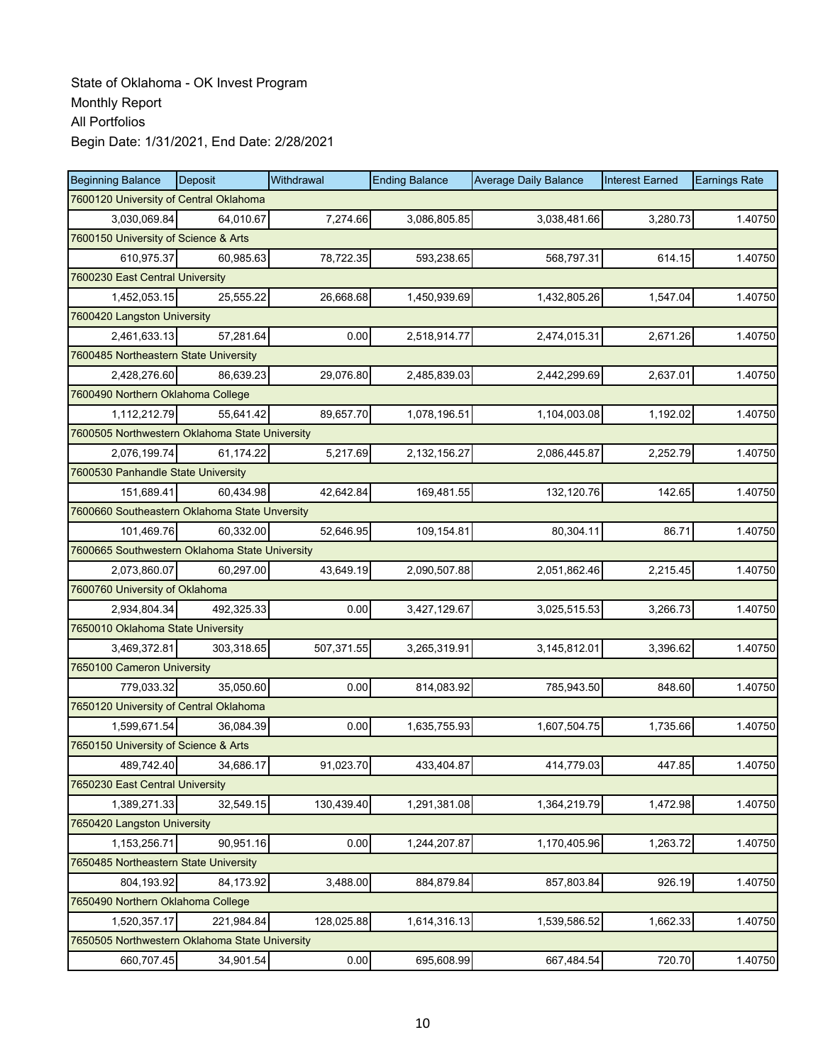| <b>Beginning Balance</b>                       | Deposit    | Withdrawal | <b>Ending Balance</b> | <b>Average Daily Balance</b> | <b>Interest Earned</b> | <b>Earnings Rate</b> |
|------------------------------------------------|------------|------------|-----------------------|------------------------------|------------------------|----------------------|
| 7600120 University of Central Oklahoma         |            |            |                       |                              |                        |                      |
| 3,030,069.84                                   | 64,010.67  | 7.274.66   | 3,086,805.85          | 3,038,481.66                 | 3.280.73               | 1.40750              |
| 7600150 University of Science & Arts           |            |            |                       |                              |                        |                      |
| 610,975.37                                     | 60,985.63  | 78,722.35  | 593,238.65            | 568,797.31                   | 614.15                 | 1.40750              |
| 7600230 East Central University                |            |            |                       |                              |                        |                      |
| 1,452,053.15                                   | 25,555.22  | 26,668.68  | 1,450,939.69          | 1,432,805.26                 | 1,547.04               | 1.40750              |
| 7600420 Langston University                    |            |            |                       |                              |                        |                      |
| 2,461,633.13                                   | 57,281.64  | 0.00       | 2,518,914.77          | 2,474,015.31                 | 2,671.26               | 1.40750              |
| 7600485 Northeastern State University          |            |            |                       |                              |                        |                      |
| 2,428,276.60                                   | 86,639.23  | 29,076.80  | 2,485,839.03          | 2,442,299.69                 | 2,637.01               | 1.40750              |
| 7600490 Northern Oklahoma College              |            |            |                       |                              |                        |                      |
| 1,112,212.79                                   | 55,641.42  | 89,657.70  | 1,078,196.51          | 1,104,003.08                 | 1,192.02               | 1.40750              |
| 7600505 Northwestern Oklahoma State University |            |            |                       |                              |                        |                      |
| 2,076,199.74                                   | 61,174.22  | 5,217.69   | 2,132,156.27          | 2,086,445.87                 | 2,252.79               | 1.40750              |
| 7600530 Panhandle State University             |            |            |                       |                              |                        |                      |
| 151,689.41                                     | 60,434.98  | 42,642.84  | 169,481.55            | 132,120.76                   | 142.65                 | 1.40750              |
| 7600660 Southeastern Oklahoma State Unversity  |            |            |                       |                              |                        |                      |
| 101,469.76                                     | 60,332.00  | 52,646.95  | 109,154.81            | 80,304.11                    | 86.71                  | 1.40750              |
| 7600665 Southwestern Oklahoma State University |            |            |                       |                              |                        |                      |
| 2,073,860.07                                   | 60,297.00  | 43,649.19  | 2,090,507.88          | 2,051,862.46                 | 2,215.45               | 1.40750              |
| 7600760 University of Oklahoma                 |            |            |                       |                              |                        |                      |
| 2,934,804.34                                   | 492,325.33 | 0.00       | 3,427,129.67          | 3,025,515.53                 | 3,266.73               | 1.40750              |
| 7650010 Oklahoma State University              |            |            |                       |                              |                        |                      |
| 3,469,372.81                                   | 303,318.65 | 507,371.55 | 3,265,319.91          | 3,145,812.01                 | 3,396.62               | 1.40750              |
| 7650100 Cameron University                     |            |            |                       |                              |                        |                      |
| 779,033.32                                     | 35,050.60  | 0.00       | 814,083.92            | 785,943.50                   | 848.60                 | 1.40750              |
| 7650120 University of Central Oklahoma         |            |            |                       |                              |                        |                      |
| 1,599,671.54                                   | 36,084.39  | 0.00       | 1,635,755.93          | 1,607,504.75                 | 1,735.66               | 1.40750              |
| 7650150 University of Science & Arts           |            |            |                       |                              |                        |                      |
| 489,742.40                                     | 34,686.17  | 91,023.70  | 433,404.87            | 414,779.03                   | 447.85                 | 1.40750              |
| 7650230 East Central University                |            |            |                       |                              |                        |                      |
| 1,389,271.33                                   | 32,549.15  | 130,439.40 | 1,291,381.08          | 1,364,219.79                 | 1,472.98               | 1.40750              |
| 7650420 Langston University                    |            |            |                       |                              |                        |                      |
| 1,153,256.71                                   | 90,951.16  | 0.00       | 1,244,207.87          | 1,170,405.96                 | 1,263.72               | 1.40750              |
| 7650485 Northeastern State University          |            |            |                       |                              |                        |                      |
| 804,193.92                                     | 84,173.92  | 3,488.00   | 884,879.84            | 857,803.84                   | 926.19                 | 1.40750              |
| 7650490 Northern Oklahoma College              |            |            |                       |                              |                        |                      |
| 1,520,357.17                                   | 221,984.84 | 128,025.88 | 1,614,316.13          | 1,539,586.52                 | 1,662.33               | 1.40750              |
| 7650505 Northwestern Oklahoma State University |            |            |                       |                              |                        |                      |
| 660,707.45                                     | 34,901.54  | 0.00       | 695,608.99            | 667,484.54                   | 720.70                 | 1.40750              |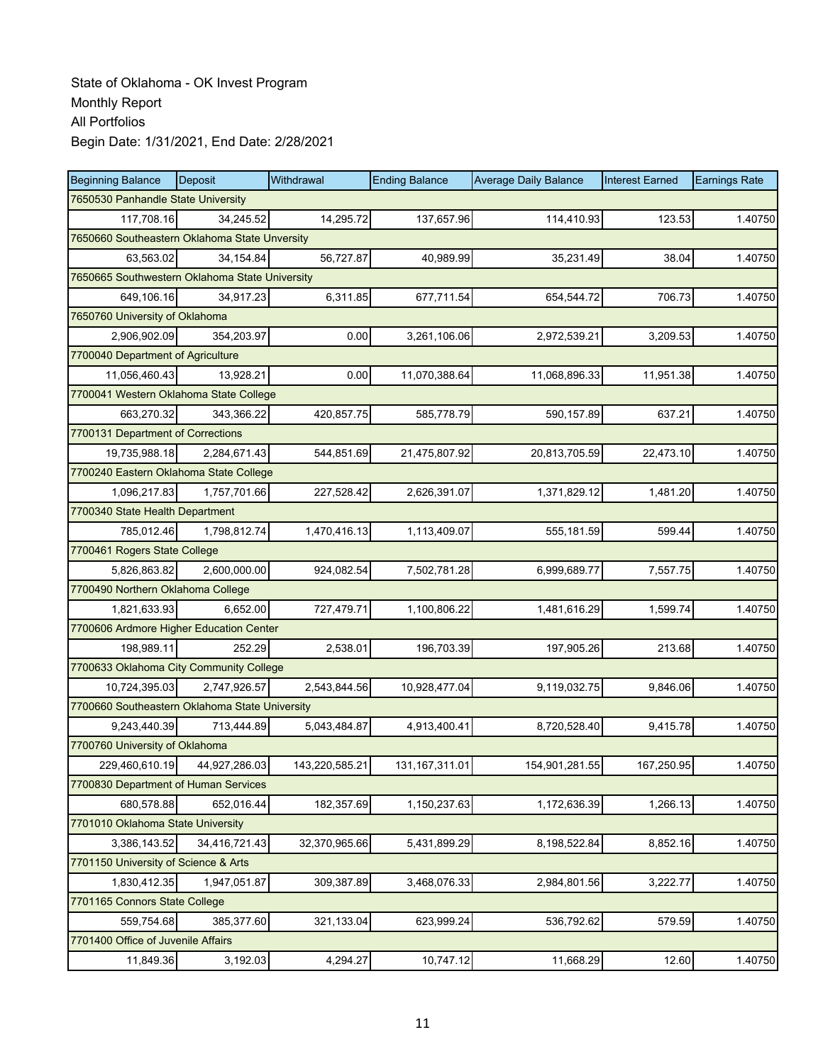| <b>Beginning Balance</b>                       | Deposit       | Withdrawal     | <b>Ending Balance</b> | <b>Average Daily Balance</b> | <b>Interest Earned</b> | <b>Earnings Rate</b> |  |  |
|------------------------------------------------|---------------|----------------|-----------------------|------------------------------|------------------------|----------------------|--|--|
| 7650530 Panhandle State University             |               |                |                       |                              |                        |                      |  |  |
| 117,708.16                                     | 34,245.52     | 14,295.72      | 137,657.96            | 114,410.93                   | 123.53                 | 1.40750              |  |  |
| 7650660 Southeastern Oklahoma State Unversity  |               |                |                       |                              |                        |                      |  |  |
| 63,563.02                                      | 34,154.84     | 56,727.87      | 40.989.99             | 35,231.49                    | 38.04                  | 1.40750              |  |  |
| 7650665 Southwestern Oklahoma State University |               |                |                       |                              |                        |                      |  |  |
| 649,106.16                                     | 34,917.23     | 6,311.85       | 677,711.54            | 654,544.72                   | 706.73                 | 1.40750              |  |  |
| 7650760 University of Oklahoma                 |               |                |                       |                              |                        |                      |  |  |
| 2,906,902.09                                   | 354,203.97    | 0.00           | 3,261,106.06          | 2,972,539.21                 | 3,209.53               | 1.40750              |  |  |
| 7700040 Department of Agriculture              |               |                |                       |                              |                        |                      |  |  |
| 11,056,460.43                                  | 13,928.21     | 0.00           | 11,070,388.64         | 11,068,896.33                | 11,951.38              | 1.40750              |  |  |
| 7700041 Western Oklahoma State College         |               |                |                       |                              |                        |                      |  |  |
| 663,270.32                                     | 343,366.22    | 420,857.75     | 585,778.79            | 590,157.89                   | 637.21                 | 1.40750              |  |  |
| 7700131 Department of Corrections              |               |                |                       |                              |                        |                      |  |  |
| 19,735,988.18                                  | 2,284,671.43  | 544,851.69     | 21,475,807.92         | 20,813,705.59                | 22,473.10              | 1.40750              |  |  |
| 7700240 Eastern Oklahoma State College         |               |                |                       |                              |                        |                      |  |  |
| 1,096,217.83                                   | 1,757,701.66  | 227,528.42     | 2,626,391.07          | 1,371,829.12                 | 1,481.20               | 1.40750              |  |  |
| 7700340 State Health Department                |               |                |                       |                              |                        |                      |  |  |
| 785,012.46                                     | 1,798,812.74  | 1,470,416.13   | 1,113,409.07          | 555,181.59                   | 599.44                 | 1.40750              |  |  |
| 7700461 Rogers State College                   |               |                |                       |                              |                        |                      |  |  |
| 5,826,863.82                                   | 2,600,000.00  | 924,082.54     | 7,502,781.28          | 6,999,689.77                 | 7,557.75               | 1.40750              |  |  |
| 7700490 Northern Oklahoma College              |               |                |                       |                              |                        |                      |  |  |
| 1,821,633.93                                   | 6,652.00      | 727,479.71     | 1,100,806.22          | 1,481,616.29                 | 1,599.74               | 1.40750              |  |  |
| 7700606 Ardmore Higher Education Center        |               |                |                       |                              |                        |                      |  |  |
| 198,989.11                                     | 252.29        | 2,538.01       | 196,703.39            | 197,905.26                   | 213.68                 | 1.40750              |  |  |
| 7700633 Oklahoma City Community College        |               |                |                       |                              |                        |                      |  |  |
| 10,724,395.03                                  | 2,747,926.57  | 2,543,844.56   | 10,928,477.04         | 9,119,032.75                 | 9,846.06               | 1.40750              |  |  |
| 7700660 Southeastern Oklahoma State University |               |                |                       |                              |                        |                      |  |  |
| 9,243,440.39                                   | 713,444.89    | 5,043,484.87   | 4,913,400.41          | 8,720,528.40                 | 9,415.78               | 1.40750              |  |  |
| 7700760 University of Oklahoma                 |               |                |                       |                              |                        |                      |  |  |
| 229,460,610.19                                 | 44,927,286.03 | 143,220,585.21 | 131, 167, 311.01      | 154,901,281.55               | 167,250.95             | 1.40750              |  |  |
| 7700830 Department of Human Services           |               |                |                       |                              |                        |                      |  |  |
| 680,578.88                                     | 652,016.44    | 182,357.69     | 1,150,237.63          | 1,172,636.39                 | 1,266.13               | 1.40750              |  |  |
| 7701010 Oklahoma State University              |               |                |                       |                              |                        |                      |  |  |
| 3,386,143.52                                   | 34,416,721.43 | 32,370,965.66  | 5,431,899.29          | 8,198,522.84                 | 8,852.16               | 1.40750              |  |  |
| 7701150 University of Science & Arts           |               |                |                       |                              |                        |                      |  |  |
| 1,830,412.35                                   | 1,947,051.87  | 309,387.89     | 3,468,076.33          | 2,984,801.56                 | 3,222.77               | 1.40750              |  |  |
| 7701165 Connors State College                  |               |                |                       |                              |                        |                      |  |  |
| 559,754.68                                     | 385,377.60    | 321,133.04     | 623,999.24            | 536,792.62                   | 579.59                 | 1.40750              |  |  |
| 7701400 Office of Juvenile Affairs             |               |                |                       |                              |                        |                      |  |  |
| 11,849.36                                      | 3,192.03      | 4,294.27       | 10,747.12             | 11,668.29                    | 12.60                  | 1.40750              |  |  |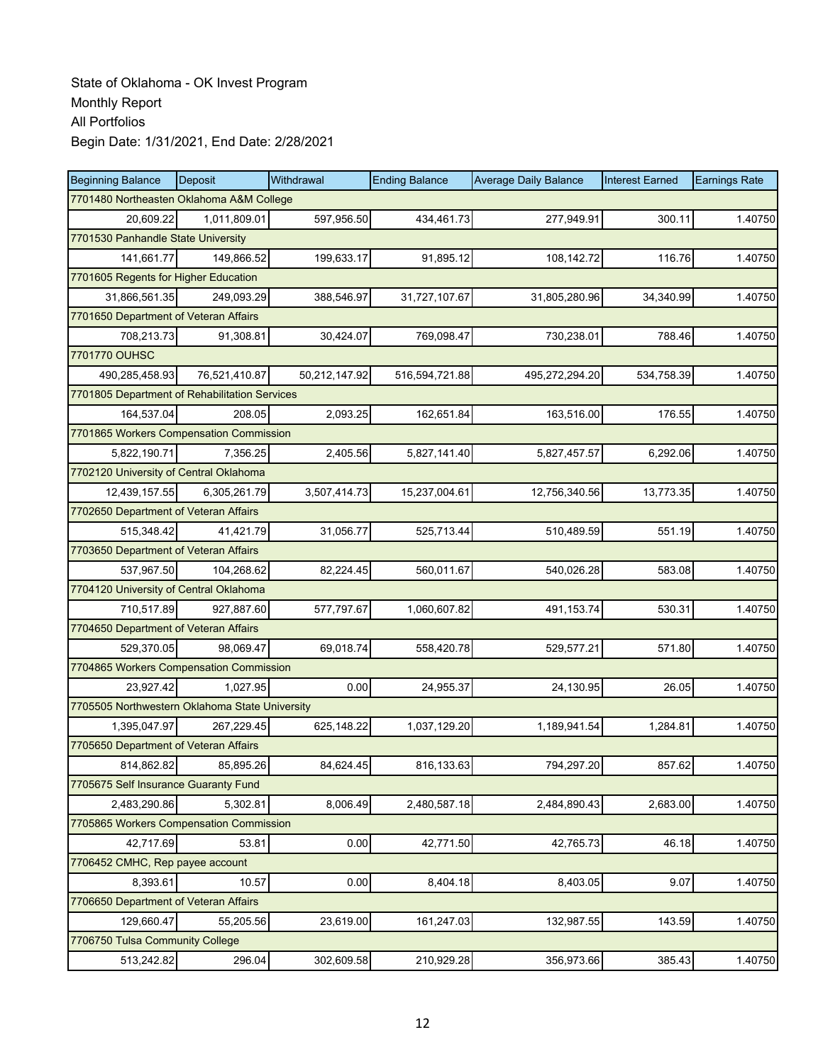| <b>Beginning Balance</b>                       | Deposit       | Withdrawal    | <b>Ending Balance</b> | <b>Average Daily Balance</b> | <b>Interest Earned</b> | <b>Earnings Rate</b> |
|------------------------------------------------|---------------|---------------|-----------------------|------------------------------|------------------------|----------------------|
| 7701480 Northeasten Oklahoma A&M College       |               |               |                       |                              |                        |                      |
| 20,609.22                                      | 1,011,809.01  | 597,956.50    | 434,461.73            | 277,949.91                   | 300.11                 | 1.40750              |
| 7701530 Panhandle State University             |               |               |                       |                              |                        |                      |
| 141,661.77                                     | 149,866.52    | 199,633.17    | 91,895.12             | 108,142.72                   | 116.76                 | 1.40750              |
| 7701605 Regents for Higher Education           |               |               |                       |                              |                        |                      |
| 31,866,561.35                                  | 249,093.29    | 388,546.97    | 31,727,107.67         | 31,805,280.96                | 34,340.99              | 1.40750              |
| 7701650 Department of Veteran Affairs          |               |               |                       |                              |                        |                      |
| 708,213.73                                     | 91,308.81     | 30,424.07     | 769,098.47            | 730,238.01                   | 788.46                 | 1.40750              |
| 7701770 OUHSC                                  |               |               |                       |                              |                        |                      |
| 490,285,458.93                                 | 76,521,410.87 | 50,212,147.92 | 516,594,721.88        | 495,272,294.20               | 534,758.39             | 1.40750              |
| 7701805 Department of Rehabilitation Services  |               |               |                       |                              |                        |                      |
| 164,537.04                                     | 208.05        | 2,093.25      | 162,651.84            | 163,516.00                   | 176.55                 | 1.40750              |
| 7701865 Workers Compensation Commission        |               |               |                       |                              |                        |                      |
| 5,822,190.71                                   | 7,356.25      | 2,405.56      | 5,827,141.40          | 5,827,457.57                 | 6,292.06               | 1.40750              |
| 7702120 University of Central Oklahoma         |               |               |                       |                              |                        |                      |
| 12,439,157.55                                  | 6,305,261.79  | 3,507,414.73  | 15,237,004.61         | 12,756,340.56                | 13,773.35              | 1.40750              |
| 7702650 Department of Veteran Affairs          |               |               |                       |                              |                        |                      |
| 515,348.42                                     | 41,421.79     | 31,056.77     | 525,713.44            | 510,489.59                   | 551.19                 | 1.40750              |
| 7703650 Department of Veteran Affairs          |               |               |                       |                              |                        |                      |
| 537,967.50                                     | 104,268.62    | 82,224.45     | 560,011.67            | 540,026.28                   | 583.08                 | 1.40750              |
| 7704120 University of Central Oklahoma         |               |               |                       |                              |                        |                      |
| 710,517.89                                     | 927,887.60    | 577,797.67    | 1,060,607.82          | 491,153.74                   | 530.31                 | 1.40750              |
| 7704650 Department of Veteran Affairs          |               |               |                       |                              |                        |                      |
| 529,370.05                                     | 98.069.47     | 69,018.74     | 558,420.78            | 529,577.21                   | 571.80                 | 1.40750              |
| 7704865 Workers Compensation Commission        |               |               |                       |                              |                        |                      |
| 23,927.42                                      | 1,027.95      | 0.00          | 24,955.37             | 24,130.95                    | 26.05                  | 1.40750              |
| 7705505 Northwestern Oklahoma State University |               |               |                       |                              |                        |                      |
| 1,395,047.97                                   | 267,229.45    | 625,148.22    | 1,037,129.20          | 1,189,941.54                 | 1,284.81               | 1.40750              |
| 7705650 Department of Veteran Affairs          |               |               |                       |                              |                        |                      |
| 814,862.82                                     | 85,895.26     | 84,624.45     | 816,133.63            | 794,297.20                   | 857.62                 | 1.40750              |
| 7705675 Self Insurance Guaranty Fund           |               |               |                       |                              |                        |                      |
| 2,483,290.86                                   | 5,302.81      | 8,006.49      | 2,480,587.18          | 2,484,890.43                 | 2,683.00               | 1.40750              |
| 7705865 Workers Compensation Commission        |               |               |                       |                              |                        |                      |
| 42,717.69                                      | 53.81         | 0.00          | 42,771.50             | 42,765.73                    | 46.18                  | 1.40750              |
| 7706452 CMHC, Rep payee account                |               |               |                       |                              |                        |                      |
| 8,393.61                                       | 10.57         | 0.00          | 8,404.18              | 8,403.05                     | 9.07                   | 1.40750              |
| 7706650 Department of Veteran Affairs          |               |               |                       |                              |                        |                      |
| 129,660.47                                     | 55,205.56     | 23,619.00     | 161,247.03            | 132,987.55                   | 143.59                 | 1.40750              |
| 7706750 Tulsa Community College                |               |               |                       |                              |                        |                      |
| 513,242.82                                     | 296.04        | 302,609.58    | 210,929.28            | 356,973.66                   | 385.43                 | 1.40750              |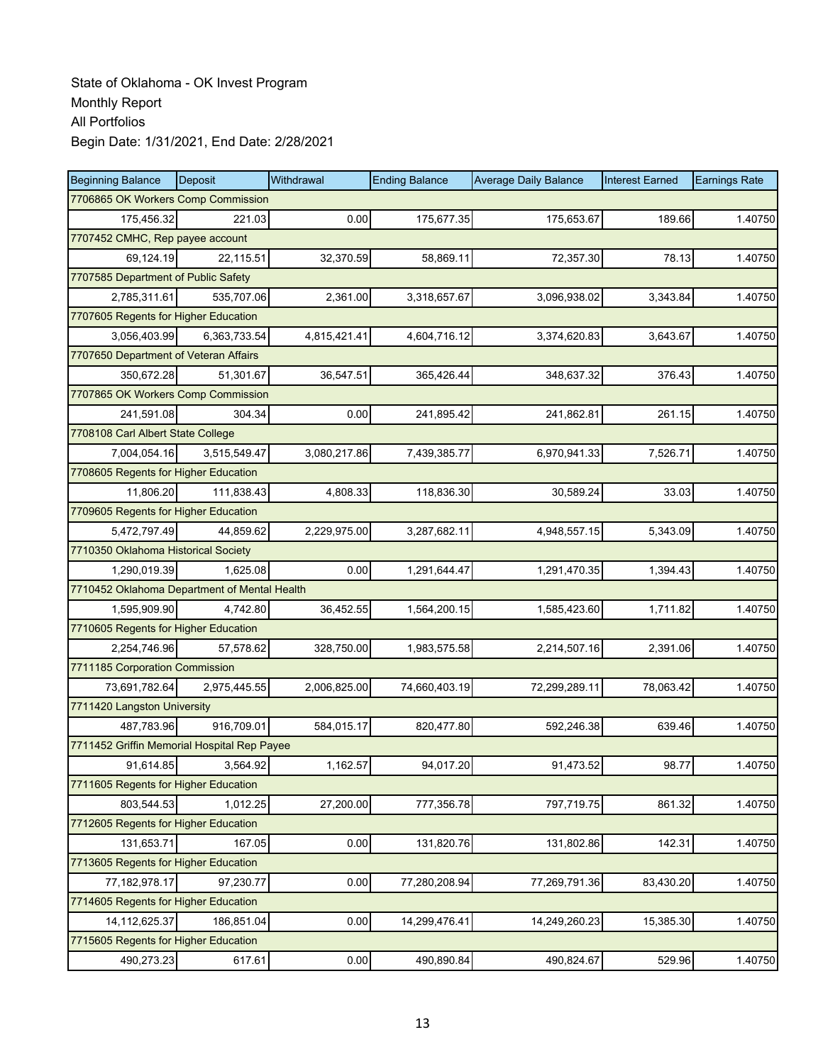| <b>Beginning Balance</b>                     | Deposit      | Withdrawal   | <b>Ending Balance</b> | <b>Average Daily Balance</b> | <b>Interest Earned</b> | <b>Earnings Rate</b> |
|----------------------------------------------|--------------|--------------|-----------------------|------------------------------|------------------------|----------------------|
| 7706865 OK Workers Comp Commission           |              |              |                       |                              |                        |                      |
| 175,456.32                                   | 221.03       | 0.00         | 175,677.35            | 175,653.67                   | 189.66                 | 1.40750              |
| 7707452 CMHC, Rep payee account              |              |              |                       |                              |                        |                      |
| 69,124.19                                    | 22,115.51    | 32,370.59    | 58,869.11             | 72,357.30                    | 78.13                  | 1.40750              |
| 7707585 Department of Public Safety          |              |              |                       |                              |                        |                      |
| 2,785,311.61                                 | 535,707.06   | 2,361.00     | 3,318,657.67          | 3,096,938.02                 | 3,343.84               | 1.40750              |
| 7707605 Regents for Higher Education         |              |              |                       |                              |                        |                      |
| 3,056,403.99                                 | 6,363,733.54 | 4,815,421.41 | 4,604,716.12          | 3,374,620.83                 | 3,643.67               | 1.40750              |
| 7707650 Department of Veteran Affairs        |              |              |                       |                              |                        |                      |
| 350,672.28                                   | 51,301.67    | 36,547.51    | 365,426.44            | 348,637.32                   | 376.43                 | 1.40750              |
| 7707865 OK Workers Comp Commission           |              |              |                       |                              |                        |                      |
| 241,591.08                                   | 304.34       | 0.00         | 241,895.42            | 241,862.81                   | 261.15                 | 1.40750              |
| 7708108 Carl Albert State College            |              |              |                       |                              |                        |                      |
| 7.004.054.16                                 | 3,515,549.47 | 3,080,217.86 | 7,439,385.77          | 6,970,941.33                 | 7,526.71               | 1.40750              |
| 7708605 Regents for Higher Education         |              |              |                       |                              |                        |                      |
| 11,806.20                                    | 111,838.43   | 4,808.33     | 118,836.30            | 30,589.24                    | 33.03                  | 1.40750              |
| 7709605 Regents for Higher Education         |              |              |                       |                              |                        |                      |
| 5,472,797.49                                 | 44,859.62    | 2,229,975.00 | 3,287,682.11          | 4,948,557.15                 | 5,343.09               | 1.40750              |
| 7710350 Oklahoma Historical Society          |              |              |                       |                              |                        |                      |
| 1,290,019.39                                 | 1,625.08     | 0.00         | 1,291,644.47          | 1,291,470.35                 | 1,394.43               | 1.40750              |
| 7710452 Oklahoma Department of Mental Health |              |              |                       |                              |                        |                      |
| 1,595,909.90                                 | 4,742.80     | 36,452.55    | 1,564,200.15          | 1,585,423.60                 | 1,711.82               | 1.40750              |
| 7710605 Regents for Higher Education         |              |              |                       |                              |                        |                      |
| 2,254,746.96                                 | 57,578.62    | 328,750.00   | 1,983,575.58          | 2,214,507.16                 | 2,391.06               | 1.40750              |
| 7711185 Corporation Commission               |              |              |                       |                              |                        |                      |
| 73,691,782.64                                | 2,975,445.55 | 2,006,825.00 | 74,660,403.19         | 72,299,289.11                | 78,063.42              | 1.40750              |
| 7711420 Langston University                  |              |              |                       |                              |                        |                      |
| 487,783.96                                   | 916,709.01   | 584,015.17   | 820,477.80            | 592,246.38                   | 639.46                 | 1.40750              |
| 7711452 Griffin Memorial Hospital Rep Payee  |              |              |                       |                              |                        |                      |
| 91,614.85                                    | 3,564.92     | 1,162.57     | 94,017.20             | 91,473.52                    | 98.77                  | 1.40750              |
| 7711605 Regents for Higher Education         |              |              |                       |                              |                        |                      |
| 803,544.53                                   | 1,012.25     | 27,200.00    | 777,356.78            | 797,719.75                   | 861.32                 | 1.40750              |
| 7712605 Regents for Higher Education         |              |              |                       |                              |                        |                      |
| 131,653.71                                   | 167.05       | 0.00         | 131,820.76            | 131,802.86                   | 142.31                 | 1.40750              |
| 7713605 Regents for Higher Education         |              |              |                       |                              |                        |                      |
| 77, 182, 978. 17                             | 97,230.77    | 0.00         | 77,280,208.94         | 77,269,791.36                | 83,430.20              | 1.40750              |
| 7714605 Regents for Higher Education         |              |              |                       |                              |                        |                      |
| 14,112,625.37                                | 186,851.04   | 0.00         | 14,299,476.41         | 14,249,260.23                | 15,385.30              | 1.40750              |
| 7715605 Regents for Higher Education         |              |              |                       |                              |                        |                      |
| 490,273.23                                   | 617.61       | 0.00         | 490,890.84            | 490,824.67                   | 529.96                 | 1.40750              |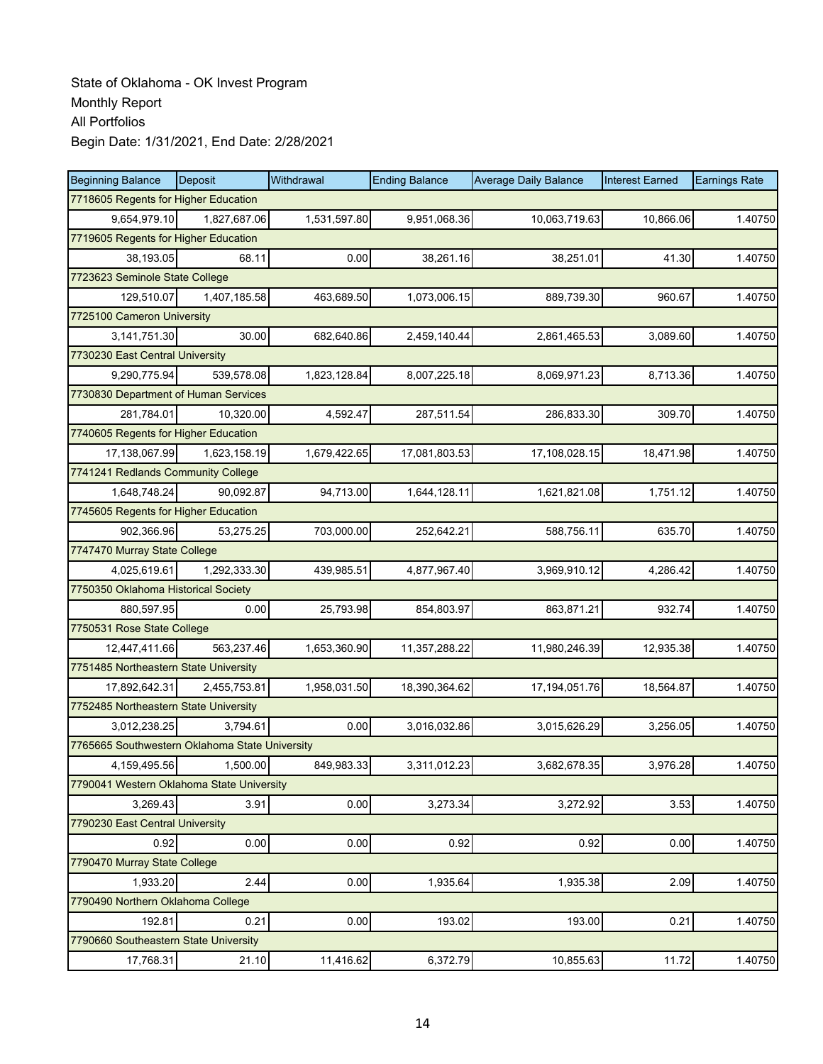| <b>Beginning Balance</b>                       | Deposit      | Withdrawal   | <b>Ending Balance</b> | <b>Average Daily Balance</b> | <b>Interest Earned</b> | <b>Earnings Rate</b> |  |  |
|------------------------------------------------|--------------|--------------|-----------------------|------------------------------|------------------------|----------------------|--|--|
| 7718605 Regents for Higher Education           |              |              |                       |                              |                        |                      |  |  |
| 9,654,979.10                                   | 1,827,687.06 | 1,531,597.80 | 9,951,068.36          | 10,063,719.63                | 10,866.06              | 1.40750              |  |  |
| 7719605 Regents for Higher Education           |              |              |                       |                              |                        |                      |  |  |
| 38,193.05                                      | 68.11        | 0.00         | 38,261.16             | 38,251.01                    | 41.30                  | 1.40750              |  |  |
| 7723623 Seminole State College                 |              |              |                       |                              |                        |                      |  |  |
| 129,510.07                                     | 1,407,185.58 | 463,689.50   | 1,073,006.15          | 889,739.30                   | 960.67                 | 1.40750              |  |  |
| 7725100 Cameron University                     |              |              |                       |                              |                        |                      |  |  |
| 3,141,751.30                                   | 30.00        | 682,640.86   | 2,459,140.44          | 2,861,465.53                 | 3,089.60               | 1.40750              |  |  |
| 7730230 East Central University                |              |              |                       |                              |                        |                      |  |  |
| 9,290,775.94                                   | 539,578.08   | 1,823,128.84 | 8,007,225.18          | 8,069,971.23                 | 8,713.36               | 1.40750              |  |  |
| 7730830 Department of Human Services           |              |              |                       |                              |                        |                      |  |  |
| 281,784.01                                     | 10,320.00    | 4,592.47     | 287,511.54            | 286,833.30                   | 309.70                 | 1.40750              |  |  |
| 7740605 Regents for Higher Education           |              |              |                       |                              |                        |                      |  |  |
| 17,138,067.99                                  | 1,623,158.19 | 1,679,422.65 | 17,081,803.53         | 17,108,028.15                | 18,471.98              | 1.40750              |  |  |
| 7741241 Redlands Community College             |              |              |                       |                              |                        |                      |  |  |
| 1.648.748.24                                   | 90,092.87    | 94,713.00    | 1,644,128.11          | 1,621,821.08                 | 1,751.12               | 1.40750              |  |  |
| 7745605 Regents for Higher Education           |              |              |                       |                              |                        |                      |  |  |
| 902,366.96                                     | 53,275.25    | 703,000.00   | 252,642.21            | 588,756.11                   | 635.70                 | 1.40750              |  |  |
| 7747470 Murray State College                   |              |              |                       |                              |                        |                      |  |  |
| 4,025,619.61                                   | 1,292,333.30 | 439,985.51   | 4,877,967.40          | 3,969,910.12                 | 4,286.42               | 1.40750              |  |  |
| 7750350 Oklahoma Historical Society            |              |              |                       |                              |                        |                      |  |  |
| 880,597.95                                     | 0.00         | 25,793.98    | 854,803.97            | 863,871.21                   | 932.74                 | 1.40750              |  |  |
| 7750531 Rose State College                     |              |              |                       |                              |                        |                      |  |  |
| 12,447,411.66                                  | 563,237.46   | 1,653,360.90 | 11,357,288.22         | 11,980,246.39                | 12,935.38              | 1.40750              |  |  |
| 7751485 Northeastern State University          |              |              |                       |                              |                        |                      |  |  |
| 17,892,642.31                                  | 2,455,753.81 | 1,958,031.50 | 18,390,364.62         | 17,194,051.76                | 18,564.87              | 1.40750              |  |  |
| 7752485 Northeastern State University          |              |              |                       |                              |                        |                      |  |  |
| 3,012,238.25                                   | 3,794.61     | 0.00         | 3,016,032.86          | 3,015,626.29                 | 3,256.05               | 1.40750              |  |  |
| 7765665 Southwestern Oklahoma State University |              |              |                       |                              |                        |                      |  |  |
| 4,159,495.56                                   | 1,500.00     | 849,983.33   | 3,311,012.23          | 3,682,678.35                 | 3,976.28               | 1.40750              |  |  |
| 7790041 Western Oklahoma State University      |              |              |                       |                              |                        |                      |  |  |
| 3,269.43                                       | 3.91         | 0.00         | 3,273.34              | 3,272.92                     | 3.53                   | 1.40750              |  |  |
| 7790230 East Central University                |              |              |                       |                              |                        |                      |  |  |
| 0.92                                           | 0.00         | 0.00         | 0.92                  | 0.92                         | 0.00                   | 1.40750              |  |  |
| 7790470 Murray State College                   |              |              |                       |                              |                        |                      |  |  |
| 1,933.20                                       | 2.44         | 0.00         | 1,935.64              | 1,935.38                     | 2.09                   | 1.40750              |  |  |
| 7790490 Northern Oklahoma College              |              |              |                       |                              |                        |                      |  |  |
| 192.81                                         | 0.21         | 0.00         | 193.02                | 193.00                       | 0.21                   | 1.40750              |  |  |
| 7790660 Southeastern State University          |              |              |                       |                              |                        |                      |  |  |
| 17,768.31                                      | 21.10        | 11,416.62    | 6,372.79              | 10,855.63                    | 11.72                  | 1.40750              |  |  |